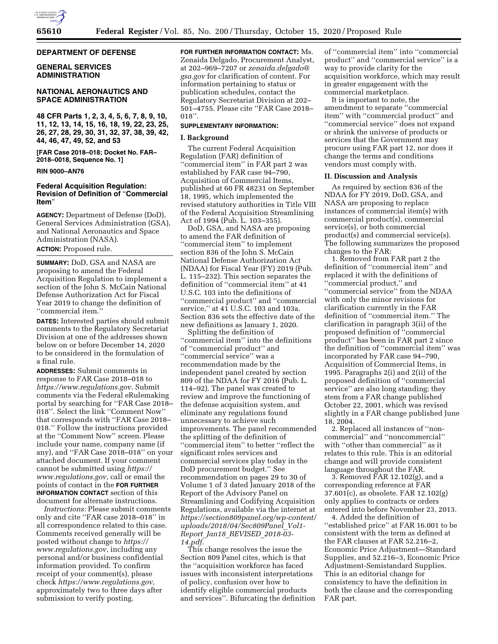

#### **DEPARTMENT OF DEFENSE**

### **GENERAL SERVICES ADMINISTRATION**

# **NATIONAL AERONAUTICS AND SPACE ADMINISTRATION**

**48 CFR Parts 1, 2, 3, 4, 5, 6, 7, 8, 9, 10, 11, 12, 13, 14, 15, 16, 18, 19, 22, 23, 25, 26, 27, 28, 29, 30, 31, 32, 37, 38, 39, 42, 44, 46, 47, 49, 52, and 53** 

**[FAR Case 2018–018; Docket No. FAR– 2018–0018, Sequence No. 1]** 

### **RIN 9000–AN76**

# **Federal Acquisition Regulation: Revision of Definition of** ''**Commercial Item**''

**AGENCY:** Department of Defense (DoD), General Services Administration (GSA), and National Aeronautics and Space Administration (NASA). **ACTION:** Proposed rule.

**SUMMARY:** DoD, GSA and NASA are proposing to amend the Federal Acquisition Regulation to implement a section of the John S. McCain National Defense Authorization Act for Fiscal Year 2019 to change the definition of ''commercial item.''

**DATES:** Interested parties should submit comments to the Regulatory Secretariat Division at one of the addresses shown below on or before December 14, 2020 to be considered in the formulation of a final rule.

**ADDRESSES:** Submit comments in response to FAR Case 2018–018 to *[https://www.regulations.gov.](https://www.regulations.gov)* Submit comments via the Federal eRulemaking portal by searching for ''FAR Case 2018– 018''. Select the link ''Comment Now'' that corresponds with ''FAR Case 2018– 018.'' Follow the instructions provided at the ''Comment Now'' screen. Please include your name, company name (if any), and ''FAR Case 2018–018'' on your attached document. If your comment cannot be submitted using *[https://](https://www.regulations.gov)  [www.regulations.gov,](https://www.regulations.gov)* call or email the points of contact in the **FOR FURTHER INFORMATION CONTACT** section of this document for alternate instructions.

*Instructions:* Please submit comments only and cite ''FAR case 2018–018'' in all correspondence related to this case. Comments received generally will be posted without change to *[https://](https://www.regulations.gov) [www.regulations.gov,](https://www.regulations.gov)* including any personal and/or business confidential information provided. To confirm receipt of your comment(s), please check *[https://www.regulations.gov,](https://www.regulations.gov)*  approximately two to three days after submission to verify posting.

**FOR FURTHER INFORMATION CONTACT:** Ms. Zenaida Delgado, Procurement Analyst, at 202–969–7207 or *[zenaida.delgado@](mailto:zenaida.delgado@gsa.gov) [gsa.gov](mailto:zenaida.delgado@gsa.gov)* for clarification of content. For information pertaining to status or publication schedules, contact the Regulatory Secretariat Division at 202– 501–4755. Please cite ''FAR Case 2018–  $018"$ .

### **SUPPLEMENTARY INFORMATION:**

### **I. Background**

The current Federal Acquisition Regulation (FAR) definition of ''commercial item'' in FAR part 2 was established by FAR case 94–790, Acquisition of Commercial Items, published at 60 FR 48231 on September 18, 1995, which implemented the revised statutory authorities in Title VIII of the Federal Acquisition Streamlining Act of 1994 (Pub. L. 103–355).

DoD, GSA, and NASA are proposing to amend the FAR definition of ''commercial item'' to implement section 836 of the John S. McCain National Defense Authorization Act (NDAA) for Fiscal Year (FY) 2019 (Pub. L. 115–232). This section separates the definition of ''commercial item'' at 41 U.S.C. 103 into the definitions of ''commercial product'' and ''commercial service,'' at 41 U.S.C. 103 and 103a. Section 836 sets the effective date of the new definitions as January 1, 2020.

Splitting the definition of ''commercial item'' into the definitions of ''commercial product'' and ''commercial service'' was a recommendation made by the independent panel created by section 809 of the NDAA for FY 2016 (Pub. L. 114–92). The panel was created to review and improve the functioning of the defense acquisition system, and eliminate any regulations found unnecessary to achieve such improvements. The panel recommended the splitting of the definition of ''commercial item'' to better ''reflect the significant roles services and commercial services play today in the DoD procurement budget.'' See recommendation on pages 29 to 30 of Volume 1 of 3 dated January 2018 of the Report of the Advisory Panel on Streamlining and Codifying Acquisition Regulations, available via the internet at *[https://section809panel.org/wp-content/](https://section809panel.org/wp-content/uploads/2018/04/Sec809Panel_Vol1-Report_Jan18_REVISED_2018-03-14.pdf) [uploads/2018/04/Sec809Panel](https://section809panel.org/wp-content/uploads/2018/04/Sec809Panel_Vol1-Report_Jan18_REVISED_2018-03-14.pdf)*\_*Vol1- Report*\_*Jan18*\_*[REVISED](https://section809panel.org/wp-content/uploads/2018/04/Sec809Panel_Vol1-Report_Jan18_REVISED_2018-03-14.pdf)*\_*2018-03- [14.pdf.](https://section809panel.org/wp-content/uploads/2018/04/Sec809Panel_Vol1-Report_Jan18_REVISED_2018-03-14.pdf)* 

This change resolves the issue the Section 809 Panel cites, which is that the ''acquisition workforce has faced issues with inconsistent interpretations of policy, confusion over how to identify eligible commercial products and services''. Bifurcating the definition

of ''commercial item'' into ''commercial product'' and ''commercial service'' is a way to provide clarity for the acquisition workforce, which may result in greater engagement with the commercial marketplace.

It is important to note, the amendment to separate ''commercial item'' with ''commercial product'' and "commercial service" does not expand or shrink the universe of products or services that the Government may procure using FAR part 12, nor does it change the terms and conditions vendors must comply with.

#### **II. Discussion and Analysis**

As required by section 836 of the NDAA for FY 2019, DoD, GSA, and NASA are proposing to replace instances of commercial item(s) with commercial product(s), commercial service(s), or both commercial product(s) and commercial service(s). The following summarizes the proposed changes to the FAR:

1. Removed from FAR part 2 the definition of ''commercial item'' and replaced it with the definitions of ''commercial product,'' and ''commercial service'' from the NDAA with only the minor revisions for clarification currently in the FAR definition of ''commercial item.'' The clarification in paragraph 3(ii) of the proposed definition of ''commercial product'' has been in FAR part 2 since the definition of ''commercial item'' was incorporated by FAR case 94–790, Acquisition of Commercial Items, in 1995. Paragraphs 2(i) and 2(ii) of the proposed definition of ''commercial service'' are also long standing; they stem from a FAR change published October 22, 2001, which was revised slightly in a FAR change published June 18, 2004.

2. Replaced all instances of ''noncommercial'' and ''noncommercial'' with ''other than commercial'' as it relates to this rule. This is an editorial change and will provide consistent language throughout the FAR.

3. Removed FAR 12.102(g), and a corresponding reference at FAR 37.601(c), as obsolete. FAR 12.102(g) only applies to contracts or orders entered into before November 23, 2013.

4. Added the definition of ''established price'' at FAR 16.001 to be consistent with the term as defined at the FAR clauses at FAR 52.216–2, Economic Price Adjustment—Standard Supplies, and 52.216–3, Economic Price Adjustment-Semistandard Supplies. This is an editorial change for consistency to have the definition in both the clause and the corresponding FAR part.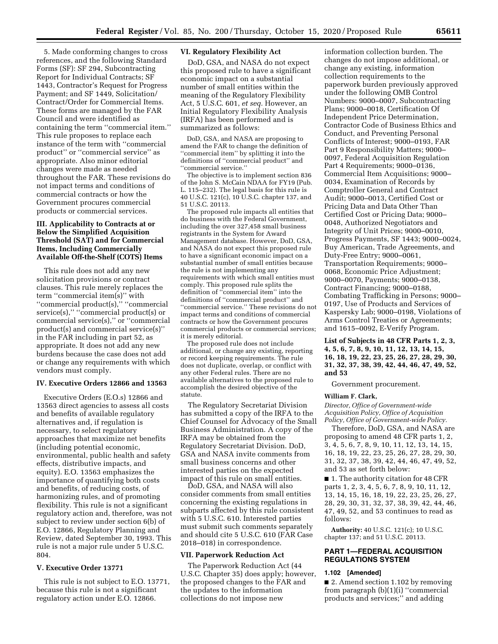5. Made conforming changes to cross references, and the following Standard Forms (SF): SF 294, Subcontracting Report for Individual Contracts; SF 1443, Contractor's Request for Progress Payment; and SF 1449, Solicitation/ Contract/Order for Commercial Items. These forms are managed by the FAR Council and were identified as containing the term ''commercial item.'' This rule proposes to replace each instance of the term with ''commercial product'' or ''commercial service'' as appropriate. Also minor editorial changes were made as needed throughout the FAR. These revisions do not impact terms and conditions of commercial contracts or how the Government procures commercial products or commercial services.

# **III. Applicability to Contracts at or Below the Simplified Acquisition Threshold (SAT) and for Commercial Items, Including Commercially Available Off-the-Shelf (COTS) Items**

This rule does not add any new solicitation provisions or contract clauses. This rule merely replaces the term ''commercial item(s)'' with ''commercial product(s),'' ''commercial service(s)," "commercial product(s) or commercial service(s),'' or ''commercial product(s) and commercial service(s)'' in the FAR including in part 52, as appropriate. It does not add any new burdens because the case does not add or change any requirements with which vendors must comply.

#### **IV. Executive Orders 12866 and 13563**

Executive Orders (E.O.s) 12866 and 13563 direct agencies to assess all costs and benefits of available regulatory alternatives and, if regulation is necessary, to select regulatory approaches that maximize net benefits (including potential economic, environmental, public health and safety effects, distributive impacts, and equity). E.O. 13563 emphasizes the importance of quantifying both costs and benefits, of reducing costs, of harmonizing rules, and of promoting flexibility. This rule is not a significant regulatory action and, therefore, was not subject to review under section 6(b) of E.O. 12866, Regulatory Planning and Review, dated September 30, 1993. This rule is not a major rule under 5 U.S.C. 804.

# **V. Executive Order 13771**

This rule is not subject to E.O. 13771, because this rule is not a significant regulatory action under E.O. 12866.

# **VI. Regulatory Flexibility Act**

DoD, GSA, and NASA do not expect this proposed rule to have a significant economic impact on a substantial number of small entities within the meaning of the Regulatory Flexibility Act, 5 U.S.C. 601, *et seq.* However, an Initial Regulatory Flexibility Analysis (IRFA) has been performed and is summarized as follows:

DoD, GSA, and NASA are proposing to amend the FAR to change the definition of "commercial item" by splitting it into the definitions of ''commercial product'' and ''commercial service.''

The objective is to implement section 836 of the John S. McCain NDAA for FY19 (Pub. L. 115–232). The legal basis for this rule is 40 U.S.C. 121(c), 10 U.S.C. chapter 137, and 51 U.S.C. 20113.

The proposed rule impacts all entities that do business with the Federal Government, including the over 327,458 small business registrants in the System for Award Management database. However, DoD, GSA, and NASA do not expect this proposed rule to have a significant economic impact on a substantial number of small entities because the rule is not implementing any requirements with which small entities must comply. This proposed rule splits the definition of ''commercial item'' into the definitions of ''commercial product'' and ''commercial service.'' These revisions do not impact terms and conditions of commercial contracts or how the Government procures commercial products or commercial services; it is merely editorial.

The proposed rule does not include additional, or change any existing, reporting or record keeping requirements. The rule does not duplicate, overlap, or conflict with any other Federal rules. There are no available alternatives to the proposed rule to accomplish the desired objective of the statute.

The Regulatory Secretariat Division has submitted a copy of the IRFA to the Chief Counsel for Advocacy of the Small Business Administration. A copy of the IRFA may be obtained from the Regulatory Secretariat Division. DoD, GSA and NASA invite comments from small business concerns and other interested parties on the expected impact of this rule on small entities.

DoD, GSA, and NASA will also consider comments from small entities concerning the existing regulations in subparts affected by this rule consistent with 5 U.S.C. 610. Interested parties must submit such comments separately and should cite 5 U.S.C. 610 (FAR Case 2018–018) in correspondence.

#### **VII. Paperwork Reduction Act**

The Paperwork Reduction Act (44 U.S.C. Chapter 35) does apply; however, the proposed changes to the FAR and the updates to the information collections do not impose new

information collection burden. The changes do not impose additional, or change any existing, information collection requirements to the paperwork burden previously approved under the following OMB Control Numbers: 9000–0007, Subcontracting Plans; 9000–0018, Certification Of Independent Price Determination, Contractor Code of Business Ethics and Conduct, and Preventing Personal Conflicts of Interest; 9000–0193, FAR Part 9 Responsibility Matters; 9000– 0097, Federal Acquisition Regulation Part 4 Requirements; 9000–0136, Commercial Item Acquisitions; 9000– 0034, Examination of Records by Comptroller General and Contract Audit; 9000–0013, Certified Cost or Pricing Data and Data Other Than Certified Cost or Pricing Data; 9000– 0048, Authorized Negotiators and Integrity of Unit Prices; 9000–0010, Progress Payments, SF 1443; 9000–0024, Buy American, Trade Agreements, and Duty-Free Entry; 9000–0061, Transportation Requirements; 9000– 0068, Economic Price Adjustment; 9000–0070, Payments; 9000–0138, Contract Financing; 9000–0188, Combating Trafficking in Persons; 9000– 0197, Use of Products and Services of Kaspersky Lab; 9000–0198, Violations of Arms Control Treaties or Agreements; and 1615–0092, E-Verify Program.

**List of Subjects in 48 CFR Parts 1, 2, 3, 4, 5, 6, 7, 8, 9, 10, 11, 12, 13, 14, 15, 16, 18, 19, 22, 23, 25, 26, 27, 28, 29, 30, 31, 32, 37, 38, 39, 42, 44, 46, 47, 49, 52, and 53** 

Government procurement.

# **William F. Clark,**

*Director, Office of Government-wide Acquisition Policy, Office of Acquisition Policy, Office of Government-wide Policy.* 

Therefore, DoD, GSA, and NASA are proposing to amend 48 CFR parts 1, 2, 3, 4, 5, 6, 7, 8, 9, 10, 11, 12, 13, 14, 15, 16, 18, 19, 22, 23, 25, 26, 27, 28, 29, 30, 31, 32, 37, 38, 39, 42, 44, 46, 47, 49, 52, and 53 as set forth below:

■ 1. The authority citation for 48 CFR parts 1, 2, 3, 4, 5, 6, 7, 8, 9, 10, 11, 12, 13, 14, 15, 16, 18, 19, 22, 23, 25, 26, 27, 28, 29, 30, 31, 32, 37, 38, 39, 42, 44, 46, 47, 49, 52, and 53 continues to read as follows:

**Authority:** 40 U.S.C. 121(c); 10 U.S.C. chapter 137; and 51 U.S.C. 20113.

### **PART 1—FEDERAL ACQUISITION REGULATIONS SYSTEM**

#### **1.102 [Amended]**

■ 2. Amend section 1.102 by removing from paragraph (b)(1)(i) ''commercial products and services;'' and adding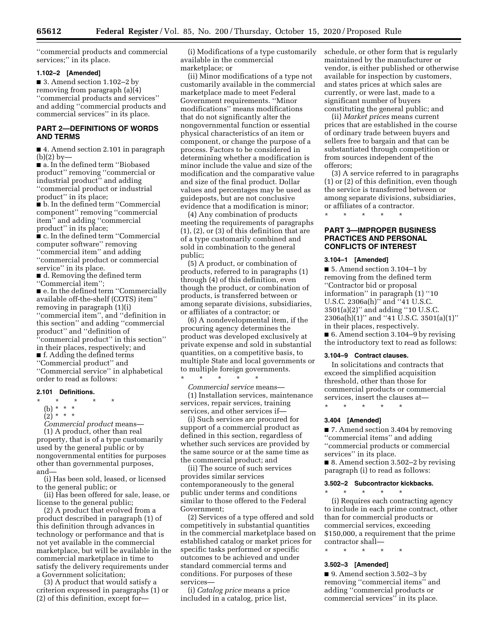''commercial products and commercial services;" in its place.

#### **1.102–2 [Amended]**

■ 3. Amend section 1.102–2 by removing from paragraph (a)(4) ''commercial products and services'' and adding ''commercial products and commercial services'' in its place.

# **PART 2—DEFINITIONS OF WORDS AND TERMS**

■ 4. Amend section 2.101 in paragraph  $(b)(2)$  by-

■ a. In the defined term "Biobased product'' removing ''commercial or industrial product'' and adding ''commercial product or industrial product'' in its place;

■ b. In the defined term ''Commercial component'' removing ''commercial item'' and adding ''commercial product'' in its place;

■ c. In the defined term "Commercial computer software'' removing ''commercial item'' and adding ''commercial product or commercial service'' in its place.

■ d. Removing the defined term ''Commercial item'';

■ e. In the defined term "Commercially available off-the-shelf (COTS) item'' removing in paragraph (1)(i) ''commercial item'', and ''definition in this section'' and adding ''commercial product'' and ''definition of ''commercial product'' in this section'' in their places, respectively; and ■ f. Adding the defined terms ''Commercial product'' and

''Commercial service'' in alphabetical order to read as follows:

#### **2.101 Definitions.**

- \* \* \* \* \*
	- (b) \* \* \*
	- $\binom{2}{2}$  \* \* \*

*Commercial product* means— (1) A product, other than real property, that is of a type customarily used by the general public or by nongovernmental entities for purposes other than governmental purposes,

and— (i) Has been sold, leased, or licensed to the general public; or

(ii) Has been offered for sale, lease, or license to the general public;

(2) A product that evolved from a product described in paragraph (1) of this definition through advances in technology or performance and that is not yet available in the commercial marketplace, but will be available in the commercial marketplace in time to satisfy the delivery requirements under a Government solicitation;

(3) A product that would satisfy a criterion expressed in paragraphs (1) or (2) of this definition, except for—

(i) Modifications of a type customarily available in the commercial marketplace; or

(ii) Minor modifications of a type not customarily available in the commercial marketplace made to meet Federal Government requirements. ''Minor modifications'' means modifications that do not significantly alter the nongovernmental function or essential physical characteristics of an item or component, or change the purpose of a process. Factors to be considered in determining whether a modification is minor include the value and size of the modification and the comparative value and size of the final product. Dollar values and percentages may be used as guideposts, but are not conclusive evidence that a modification is minor;

(4) Any combination of products meeting the requirements of paragraphs (1), (2), or (3) of this definition that are of a type customarily combined and sold in combination to the general public;

(5) A product, or combination of products, referred to in paragraphs (1) through (4) of this definition, even though the product, or combination of products, is transferred between or among separate divisions, subsidiaries, or affiliates of a contractor; or

(6) A nondevelopmental item, if the procuring agency determines the product was developed exclusively at private expense and sold in substantial quantities, on a competitive basis, to multiple State and local governments or to multiple foreign governments.

*Commercial service* means— (1) Installation services, maintenance services, repair services, training services, and other services if—

\* \* \* \* \*

(i) Such services are procured for support of a commercial product as defined in this section, regardless of whether such services are provided by the same source or at the same time as the commercial product; and

(ii) The source of such services provides similar services contemporaneously to the general public under terms and conditions similar to those offered to the Federal Government;

(2) Services of a type offered and sold competitively in substantial quantities in the commercial marketplace based on established catalog or market prices for specific tasks performed or specific outcomes to be achieved and under standard commercial terms and conditions. For purposes of these services—

(i) *Catalog price* means a price included in a catalog, price list,

schedule, or other form that is regularly maintained by the manufacturer or vendor, is either published or otherwise available for inspection by customers, and states prices at which sales are currently, or were last, made to a significant number of buyers constituting the general public; and

(ii) *Market prices* means current prices that are established in the course of ordinary trade between buyers and sellers free to bargain and that can be substantiated through competition or from sources independent of the offerors;

(3) A service referred to in paragraphs (1) or (2) of this definition, even though the service is transferred between or among separate divisions, subsidiaries, or affiliates of a contractor.

\* \* \* \* \*

# **PART 3—IMPROPER BUSINESS PRACTICES AND PERSONAL CONFLICTS OF INTEREST**

### **3.104–1 [Amended]**

■ 5. Amend section 3.104–1 by removing from the defined term ''Contractor bid or proposal information'' in paragraph (1) ''10 U.S.C. 2306a(h)'' and ''41 U.S.C. 3501(a)(2)'' and adding ''10 U.S.C. 2306a(h)(1)'' and ''41 U.S.C. 3501(a)(1)'' in their places, respectively. ■ 6. Amend section 3.104–9 by revising the introductory text to read as follows:

#### **3.104–9 Contract clauses.**

In solicitations and contracts that exceed the simplified acquisition threshold, other than those for commercial products or commercial services, insert the clauses at—

\* \* \* \* \*

# **3.404 [Amended]**

■ 7. Amend section 3.404 by removing ''commercial items'' and adding ''commercial products or commercial services'' in its place.

■ 8. Amend section 3.502–2 by revising paragraph (i) to read as follows:

### **3.502–2 Subcontractor kickbacks.**

\* \* \* \* \* (i) Requires each contracting agency to include in each prime contract, other than for commercial products or commercial services, exceeding \$150,000, a requirement that the prime contractor shall—

\* \* \* \* \*

## **3.502–3 [Amended]**

■ 9. Amend section 3.502–3 by removing ''commercial items'' and adding ''commercial products or commercial services'' in its place.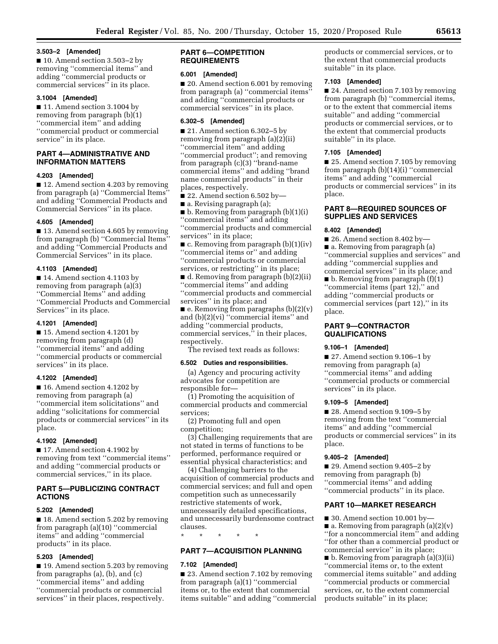## **3.503–2 [Amended]**

■ 10. Amend section 3.503–2 by removing ''commercial items'' and adding ''commercial products or commercial services'' in its place.

### **3.1004 [Amended]**

■ 11. Amend section 3.1004 by removing from paragraph (b)(1) ''commercial item'' and adding ''commercial product or commercial service'' in its place.

# **PART 4—ADMINISTRATIVE AND INFORMATION MATTERS**

### **4.203 [Amended]**

■ 12. Amend section 4.203 by removing from paragraph (a) ''Commercial Items'' and adding ''Commercial Products and Commercial Services'' in its place.

### **4.605 [Amended]**

■ 13. Amend section 4.605 by removing from paragraph (b) "Commercial Items" and adding ''Commercial Products and Commercial Services'' in its place.

# **4.1103 [Amended]**

■ 14. Amend section 4.1103 by removing from paragraph (a)(3) ''Commercial Items'' and adding ''Commercial Products and Commercial Services'' in its place.

# **4.1201 [Amended]**

■ 15. Amend section 4.1201 by removing from paragraph (d) ''commercial items'' and adding ''commercial products or commercial services'' in its place.

# **4.1202 [Amended]**

■ 16. Amend section 4.1202 by removing from paragraph (a) ''commercial item solicitations'' and adding ''solicitations for commercial products or commercial services'' in its place.

# **4.1902 [Amended]**

■ 17. Amend section 4.1902 by removing from text ''commercial items'' and adding ''commercial products or commercial services,'' in its place.

# **PART 5—PUBLICIZING CONTRACT ACTIONS**

# **5.202 [Amended]**

■ 18. Amend section 5.202 by removing from paragraph (a)(10) ''commercial items'' and adding ''commercial products'' in its place.

# **5.203 [Amended]**

■ 19. Amend section 5.203 by removing from paragraphs (a), (b), and (c) ''commercial items'' and adding ''commercial products or commercial services'' in their places, respectively.

# **PART 6—COMPETITION REQUIREMENTS**

### **6.001 [Amended]**

■ 20. Amend section 6.001 by removing from paragraph (a) ''commercial items'' and adding ''commercial products or commercial services'' in its place.

# **6.302–5 [Amended]**

■ 21. Amend section 6.302–5 by removing from paragraph (a)(2)(ii) ''commercial item'' and adding ''commercial product''; and removing from paragraph (c)(3) ''brand-name commercial items'' and adding ''brand name commercial products'' in their places, respectively.

■ 22. Amend section 6.502 by—

■ a. Revising paragraph (a);

■ b. Removing from paragraph (b)(1)(i) ''commercial items'' and adding ''commercial products and commercial services'' in its place;

■ c. Removing from paragraph (b)(1)(iv) ''commercial items or'' and adding ''commercial products or commercial services, or restricting'' in its place;

■ d. Removing from paragraph (b)(2)(ii) ''commercial items'' and adding ''commercial products and commercial services'' in its place; and

 $\blacksquare$  e. Removing from paragraphs (b)(2)(v) and (b)(2)(vi) ''commercial items'' and adding ''commercial products, commercial services,'' in their places, respectively.

The revised text reads as follows:

# **6.502 Duties and responsibilities.**

(a) Agency and procuring activity advocates for competition are responsible for—

(1) Promoting the acquisition of commercial products and commercial services;

(2) Promoting full and open competition;

(3) Challenging requirements that are not stated in terms of functions to be performed, performance required or essential physical characteristics; and

(4) Challenging barriers to the acquisition of commercial products and commercial services; and full and open competition such as unnecessarily restrictive statements of work, unnecessarily detailed specifications, and unnecessarily burdensome contract clauses.

\* \* \* \* \*

# **PART 7—ACQUISITION PLANNING**

# **7.102 [Amended]**

■ 23. Amend section 7.102 by removing from paragraph (a)(1) ''commercial items or, to the extent that commercial items suitable'' and adding ''commercial products or commercial services, or to the extent that commercial products suitable'' in its place.

# **7.103 [Amended]**

■ 24. Amend section 7.103 by removing from paragraph (b) ''commercial items, or to the extent that commercial items suitable'' and adding ''commercial products or commercial services, or to the extent that commercial products suitable'' in its place.

# **7.105 [Amended]**

■ 25. Amend section 7.105 by removing from paragraph (b)(14)(i) ''commercial items'' and adding ''commercial products or commercial services'' in its place.

# **PART 8—REQUIRED SOURCES OF SUPPLIES AND SERVICES**

# **8.402 [Amended]**

■ 26. Amend section 8.402 by ■ a. Removing from paragraph (a) ''commercial supplies and services'' and adding ''commercial supplies and commercial services'' in its place; and ■ b. Removing from paragraph (f)(1) ''commercial items (part 12),'' and adding ''commercial products or commercial services (part 12)," in its place.

# **PART 9—CONTRACTOR QUALIFICATIONS**

# **9.106–1 [Amended]**

■ 27. Amend section 9.106–1 by removing from paragraph (a) ''commercial items'' and adding ''commercial products or commercial services'' in its place.

### **9.109–5 [Amended]**

■ 28. Amend section 9.109–5 by removing from the text ''commercial items'' and adding ''commercial products or commercial services'' in its place.

# **9.405–2 [Amended]**

■ 29. Amend section 9.405–2 by removing from paragraph (b) ''commercial items'' and adding ''commercial products'' in its place.

# **PART 10—MARKET RESEARCH**

■ 30. Amend section 10.001 by-■ a. Removing from paragraph (a)(2)(v) ''for a noncommercial item'' and adding ''for other than a commercial product or commercial service'' in its place;

■ b. Removing from paragraph (a)(3)(ii) ''commercial items or, to the extent commercial items suitable'' and adding ''commercial products or commercial services, or, to the extent commercial products suitable'' in its place;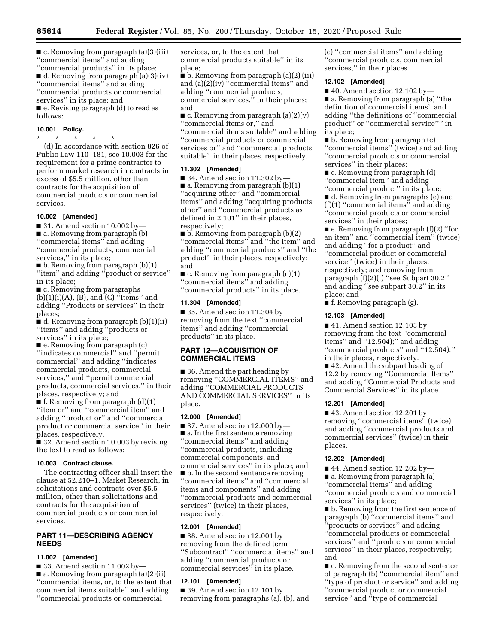■ c. Removing from paragraph (a)(3)(iii) ''commercial items'' and adding ''commercial products'' in its place;

■ d. Removing from paragraph (a)(3)(iv) ''commercial items'' and adding ''commercial products or commercial services'' in its place; and ■ e. Revising paragraph (d) to read as follows:

# **10.001 Policy.**

\* \* \* \* \* (d) In accordance with section 826 of Public Law 110–181, see 10.003 for the requirement for a prime contractor to perform market research in contracts in excess of \$5.5 million, other than contracts for the acquisition of commercial products or commercial services.

#### **10.002 [Amended]**

■ 31. Amend section 10.002 by— ■ a. Removing from paragraph (b) ''commercial items'' and adding ''commercial products, commercial services,'' in its place;

■ b. Removing from paragraph (b)(1) ''item'' and adding ''product or service'' in its place;

■ c. Removing from paragraphs  $(b)(1)(i)(A), (B),$  and  $(C)$  "Items" and adding ''Products or services'' in their places;

■ d. Removing from paragraph (b)(1)(ii) ''items'' and adding ''products or services'' in its place;

■ e. Removing from paragraph (c) ''indicates commercial'' and ''permit commercial'' and adding ''indicates commercial products, commercial services,'' and ''permit commercial products, commercial services,'' in their places, respectively; and

■ f. Removing from paragraph (d)(1) ''item or'' and ''commercial item'' and adding ''product or'' and ''commercial product or commercial service'' in their places, respectively.

■ 32. Amend section 10.003 by revising the text to read as follows:

#### **10.003 Contract clause.**

The contracting officer shall insert the clause at 52.210–1, Market Research, in solicitations and contracts over \$5.5 million, other than solicitations and contracts for the acquisition of commercial products or commercial services.

# **PART 11—DESCRIBING AGENCY NEEDS**

#### **11.002 [Amended]**

■ 33. Amend section 11.002 by– ■ a. Removing from paragraph (a)(2)(ii) ''commercial items, or, to the extent that commercial items suitable'' and adding ''commercial products or commercial

services, or, to the extent that commercial products suitable'' in its place;

■ b. Removing from paragraph (a)(2) (iii) and (a)(2)(iv) ''commercial items'' and adding ''commercial products, commercial services,'' in their places; and

 $\blacksquare$  c. Removing from paragraph (a)(2)(v) ''commercial items or,'' and ''commercial items suitable'' and adding ''commercial products or commercial services or'' and ''commercial products suitable'' in their places, respectively.

# **11.302 [Amended]**

 $\blacksquare$  34. Amend section 11.302 by-■ a. Removing from paragraph (b)(1) ''acquiring other'' and ''commercial items'' and adding ''acquiring products other'' and ''commercial products as defined in 2.101'' in their places, respectively:

■ b. Removing from paragraph (b)(2) ''commercial items'' and ''the item'' and adding ''commercial products'' and ''the product'' in their places, respectively; and

 $\blacksquare$  c. Removing from paragraph  $(c)(1)$ ''commercial items'' and adding ''commercial products'' in its place.

## **11.304 [Amended]**

■ 35. Amend section 11.304 by removing from the text ''commercial items'' and adding ''commercial products'' in its place.

# **PART 12—ACQUISITION OF COMMERCIAL ITEMS**

■ 36. Amend the part heading by removing ''COMMERCIAL ITEMS'' and adding ''COMMERCIAL PRODUCTS AND COMMERCIAL SERVICES'' in its place.

# **12.000 [Amended]**

■ 37. Amend section 12.000 by— ■ a. In the first sentence removing ''commercial items'' and adding ''commercial products, including commercial components, and commercial services'' in its place; and ■ b. In the second sentence removing ''commercial items'' and ''commercial items and components'' and adding ''commercial products and commercial services'' (twice) in their places, respectively.

#### **12.001 [Amended]**

■ 38. Amend section 12.001 by removing from the defined term ''Subcontract'' ''commercial items'' and adding ''commercial products or commercial services'' in its place.

# **12.101 [Amended]**

■ 39. Amend section 12.101 by removing from paragraphs (a), (b), and (c) ''commercial items'' and adding ''commercial products, commercial services,'' in their places.

#### **12.102 [Amended]**

 $\blacksquare$  40. Amend section 12.102 by—

■ a. Removing from paragraph (a) "the definition of commercial items'' and adding ''the definitions of ''commercial product'' or ''commercial service'''' in its place;

■ b. Removing from paragraph (c) ''commercial items'' (twice) and adding ''commercial products or commercial services'' in their places;

■ c. Removing from paragraph (d) ''commercial item'' and adding ''commercial product'' in its place;

■ d. Removing from paragraphs (e) and (f)(1) ''commercial items'' and adding ''commercial products or commercial services'' in their places;

 $\blacksquare$  e. Removing from paragraph  $(f)(2)$  "for an item'' and ''commercial item'' (twice) and adding ''for a product'' and ''commercial product or commercial service'' (twice) in their places, respectively; and removing from paragraph (f)(2)(i) ''see Subpart 30.2'' and adding ''see subpart 30.2'' in its place; and

■ f. Removing paragraph (g).

#### **12.103 [Amended]**

■ 41. Amend section 12.103 by removing from the text ''commercial items'' and ''12.504);'' and adding ''commercial products'' and ''12.504).'' in their places, respectively.

■ 42. Amend the subpart heading of 12.2 by removing ''Commercial Items'' and adding ''Commercial Products and Commercial Services'' in its place.

#### **12.201 [Amended]**

■ 43. Amend section 12.201 by removing ''commercial items'' (twice) and adding ''commercial products and commercial services'' (twice) in their places.

#### **12.202 [Amended]**

- 44. Amend section 12.202 by—
- a. Removing from paragraph (a)
- ''commercial items'' and adding

''commercial products and commercial services'' in its place;

■ **b**. Removing from the first sentence of paragraph (b) ''commercial items'' and ''products or services'' and adding ''commercial products or commercial services'' and ''products or commercial services'' in their places, respectively; and

■ c. Removing from the second sentence of paragraph (b) ''commercial item'' and ''type of product or service'' and adding ''commercial product or commercial service'' and ''type of commercial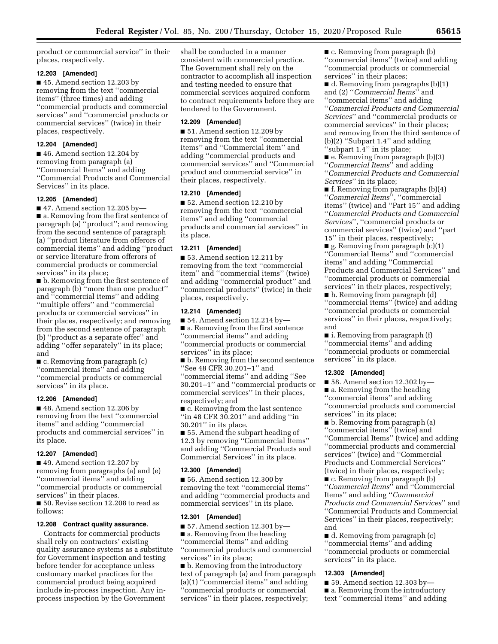product or commercial service'' in their places, respectively.

# **12.203 [Amended]**

■ 45. Amend section 12.203 by removing from the text ''commercial items'' (three times) and adding ''commercial products and commercial services'' and ''commercial products or commercial services'' (twice) in their places, respectively.

# **12.204 [Amended]**

■ 46. Amend section 12.204 by removing from paragraph (a) ''Commercial Items'' and adding ''Commercial Products and Commercial Services'' in its place.

### **12.205 [Amended]**

 $\blacksquare$  47. Amend section 12.205 by— ■ a. Removing from the first sentence of paragraph (a) ''product''; and removing from the second sentence of paragraph (a) ''product literature from offerors of commercial items'' and adding ''product or service literature from offerors of commercial products or commercial services'' in its place;

■ b. Removing from the first sentence of paragraph (b) ''more than one product'' and ''commercial items'' and adding ''multiple offers'' and ''commercial products or commercial services'' in their places, respectively; and removing from the second sentence of paragraph (b) ''product as a separate offer'' and adding ''offer separately'' in its place; and

■ c. Removing from paragraph (c) ''commercial items'' and adding ''commercial products or commercial services'' in its place.

### **12.206 [Amended]**

■ 48. Amend section 12.206 by removing from the text ''commercial items'' and adding ''commercial products and commercial services'' in its place.

### **12.207 [Amended]**

■ 49. Amend section 12.207 by removing from paragraphs (a) and (e) ''commercial items'' and adding ''commercial products or commercial services'' in their places.

■ 50. Revise section 12.208 to read as follows:

### **12.208 Contract quality assurance.**

Contracts for commercial products shall rely on contractors' existing quality assurance systems as a substitute for Government inspection and testing before tender for acceptance unless customary market practices for the commercial product being acquired include in-process inspection. Any inprocess inspection by the Government

shall be conducted in a manner consistent with commercial practice. The Government shall rely on the contractor to accomplish all inspection and testing needed to ensure that commercial services acquired conform to contract requirements before they are tendered to the Government.

# **12.209 [Amended]**

■ 51. Amend section 12.209 by removing from the text ''commercial items'' and ''Commercial item'' and adding ''commercial products and commercial services'' and ''Commercial product and commercial service'' in their places, respectively.

# **12.210 [Amended]**

■ 52. Amend section 12.210 by removing from the text ''commercial items'' and adding ''commercial products and commercial services'' in its place.

### **12.211 [Amended]**

■ 53. Amend section 12.211 by removing from the text ''commercial item'' and ''commercial items'' (twice) and adding ''commercial product'' and ''commercial products'' (twice) in their places, respectively.

### **12.214 [Amended]**

 $\blacksquare$  54. Amend section 12.214 by-

■ a. Removing from the first sentence ''commercial items'' and adding ''commercial products or commercial services'' in its place;

■ b. Removing from the second sentence ''See 48 CFR 30.201–1'' and

''commercial items'' and adding ''See 30.201–1'' and ''commercial products or commercial services'' in their places, respectively; and

■ c. Removing from the last sentence ''in 48 CFR 30.201'' and adding ''in 30.201'' in its place.

■ 55. Amend the subpart heading of 12.3 by removing ''Commercial Items'' and adding ''Commercial Products and Commercial Services'' in its place.

# **12.300 [Amended]**

■ 56. Amend section 12.300 by removing the text ''commercial items'' and adding ''commercial products and commercial services'' in its place.

### **12.301 [Amended]**

 $\blacksquare$  57. Amend section 12.301 by— ■ a. Removing from the heading ''commercial items'' and adding ''commercial products and commercial services'' in its place;

■ b. Removing from the introductory text of paragraph (a) and from paragraph (a)(1) ''commercial items'' and adding ''commercial products or commercial services'' in their places, respectively;

■ c. Removing from paragraph (b) ''commercial items'' (twice) and adding ''commercial products or commercial services'' in their places;

■ d. Removing from paragraphs (b)(1) and (2) ''*Commercial Items*'' and ''commercial items'' and adding ''*Commercial Products and Commercial Services*'' and ''commercial products or commercial services'' in their places; and removing from the third sentence of (b)(2) ''Subpart 1.4'' and adding ''subpart 1.4'' in its place;

■ e. Removing from paragraph (b)(3) ''*Commercial Items*'' and adding ''*Commercial Products and Commercial Services*'' in its place;

■ f. Removing from paragraphs (b)(4) ''*Commercial Items*'', ''commercial items'' (twice) and ''Part 15'' and adding ''*Commercial Products and Commercial Services*'', ''commercial products or commercial services'' (twice) and ''part 15'' in their places, respectively;

 $\blacksquare$  g. Removing from paragraph (c)(1) ''Commercial Items'' and ''commercial items'' and adding ''Commercial Products and Commercial Services'' and ''commercial products or commercial services'' in their places, respectively;

■ h. Removing from paragraph (d) ''commercial items'' (twice) and adding ''commercial products or commercial services'' in their places, respectively; and

■ i. Removing from paragraph (f) ''commercial items'' and adding ''commercial products or commercial services'' in its place.

### **12.302 [Amended]**

 $\blacksquare$  58. Amend section 12.302 by-

■ a. Removing from the heading ''commercial items'' and adding ''commercial products and commercial services'' in its place;

■ b. Removing from paragraph (a)

''commercial items'' (twice) and ''Commercial Items'' (twice) and adding ''commercial products and commercial services'' (twice) and ''Commercial

Products and Commercial Services'' (twice) in their places, respectively; ■ c. Removing from paragraph (b) ''*Commercial Items*'' and ''Commercial Items'' and adding ''*Commercial* 

*Products and Commercial Services*'' and ''Commercial Products and Commercial Services'' in their places, respectively; and

■ d. Removing from paragraph (c) ''commercial items'' and adding ''commercial products or commercial services'' in its place.

### **12.303 [Amended]**

■ 59. Amend section 12.303 by-

■ a. Removing from the introductory text ''commercial items'' and adding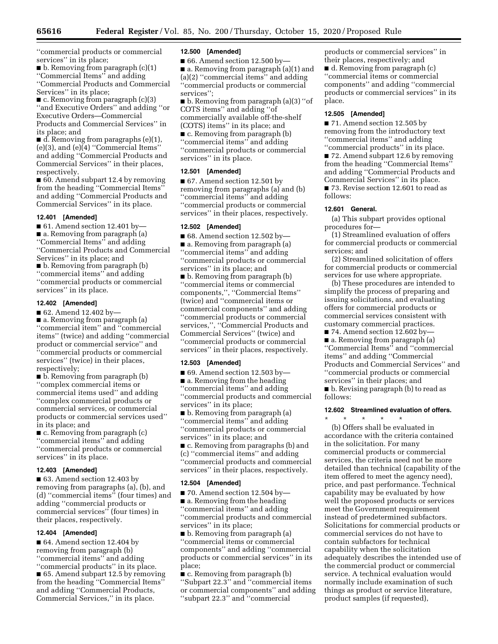''commercial products or commercial services'' in its place;

■ b. Removing from paragraph (c)(1) ''Commercial Items'' and adding ''Commercial Products and Commercial Services'' in its place;

■ c. Removing from paragraph (c)(3) ''and Executive Orders'' and adding ''or Executive Orders—Commercial Products and Commercial Services'' in its place; and

 $\blacksquare$  d. Removing from paragraphs (e)(1), (e)(3), and (e)(4) ''Commercial Items'' and adding ''Commercial Products and Commercial Services'' in their places, respectively.

■ 60. Amend subpart 12.4 by removing from the heading ''Commercial Items'' and adding ''Commercial Products and Commercial Services'' in its place.

### **12.401 [Amended]**

■ 61. Amend section 12.401 by— ■ a. Removing from paragraph (a) ''Commercial Items'' and adding ''Commercial Products and Commercial Services'' in its place; and

■ b. Removing from paragraph (b) ''commercial items'' and adding ''commercial products or commercial services'' in its place.

## **12.402 [Amended]**

■ 62. Amend 12.402 by-

■ a. Removing from paragraph (a) ''commercial item'' and ''commercial items'' (twice) and adding ''commercial product or commercial service'' and ''commercial products or commercial services'' (twice) in their places, respectively;

■ b. Removing from paragraph (b) ''complex commercial items or commercial items used'' and adding ''complex commercial products or commercial services, or commercial products or commercial services used'' in its place; and

■ c. Removing from paragraph (c) ''commercial items'' and adding ''commercial products or commercial services'' in its place.

### **12.403 [Amended]**

■ 63. Amend section 12.403 by removing from paragraphs (a), (b), and (d) ''commercial items'' (four times) and adding ''commercial products or commercial services'' (four times) in their places, respectively.

#### **12.404 [Amended]**

■ 64. Amend section 12.404 by removing from paragraph (b) ''commercial items'' and adding ''commercial products'' in its place.

■ 65. Amend subpart 12.5 by removing from the heading ''Commercial Items'' and adding ''Commercial Products, Commercial Services,'' in its place.

#### **12.500 [Amended]**

 $\blacksquare$  66. Amend section 12.500 by-■ a. Removing from paragraph (a)(1) and (a)(2) ''commercial items'' and adding ''commercial products or commercial services'';

■ b. Removing from paragraph (a)(3) "of COTS items'' and adding ''of commercially available off-the-shelf (COTS) items'' in its place; and ■ c. Removing from paragraph (b) ''commercial items'' and adding ''commercial products or commercial services'' in its place.

#### **12.501 [Amended]**

■ 67. Amend section 12.501 by removing from paragraphs (a) and (b) ''commercial items'' and adding ''commercial products or commercial services'' in their places, respectively.

### **12.502 [Amended]**

 $\blacksquare$  68. Amend section 12.502 by-■ a. Removing from paragraph (a) ''commercial items'' and adding ''commercial products or commercial services'' in its place; and

■ b. Removing from paragraph (b) ''commercial items or commercial components,'', ''Commercial Items'' (twice) and ''commercial items or commercial components'' and adding ''commercial products or commercial services,'', ''Commercial Products and Commercial Services'' (twice) and ''commercial products or commercial services'' in their places, respectively.

#### **12.503 [Amended]**

 $\blacksquare$  69. Amend section 12.503 by— ■ a. Removing from the heading ''commercial items'' and adding ''commercial products and commercial services'' in its place;

■ b. Removing from paragraph (a) ''commercial items'' and adding ''commercial products or commercial services'' in its place; and

■ c. Removing from paragraphs (b) and (c) ''commercial items'' and adding ''commercial products and commercial services'' in their places, respectively.

#### **12.504 [Amended]**

 $\blacksquare$  70. Amend section 12.504 by— ■ a. Removing from the heading ''commercial items'' and adding ''commercial products and commercial services'' in its place;

■ b. Removing from paragraph (a) ''commercial items or commercial components'' and adding ''commercial products or commercial services'' in its place;

■ c. Removing from paragraph (b) ''Subpart 22.3'' and ''commercial items or commercial components'' and adding ''subpart 22.3'' and ''commercial

products or commercial services'' in their places, respectively; and ■ d. Removing from paragraph (c) ''commercial items or commercial components'' and adding ''commercial products or commercial services'' in its place.

#### **12.505 [Amended]**

■ 71. Amend section 12.505 by removing from the introductory text ''commercial items'' and adding "commercial products" in its place.

■ 72. Amend subpart 12.6 by removing from the heading ''Commercial Items'' and adding ''Commercial Products and Commercial Services'' in its place. ■ 73. Revise section 12.601 to read as follows:

#### **12.601 General.**

(a) This subpart provides optional procedures for—

(1) Streamlined evaluation of offers for commercial products or commercial services; and

(2) Streamlined solicitation of offers for commercial products or commercial services for use where appropriate.

(b) These procedures are intended to simplify the process of preparing and issuing solicitations, and evaluating offers for commercial products or commercial services consistent with customary commercial practices.

 $\blacksquare$  74. Amend section 12.602 by-■ a. Removing from paragraph (a) ''Commercial Items'' and ''commercial items'' and adding ''Commercial Products and Commercial Services'' and ''commercial products or commercial services'' in their places; and ■ b. Revising paragraph (b) to read as follows:

# **12.602 Streamlined evaluation of offers.**

\* \* \* \* \* (b) Offers shall be evaluated in accordance with the criteria contained in the solicitation. For many commercial products or commercial services, the criteria need not be more detailed than technical (capability of the item offered to meet the agency need), price, and past performance. Technical capability may be evaluated by how well the proposed products or services meet the Government requirement instead of predetermined subfactors. Solicitations for commercial products or commercial services do not have to contain subfactors for technical capability when the solicitation adequately describes the intended use of the commercial product or commercial service. A technical evaluation would normally include examination of such things as product or service literature, product samples (if requested),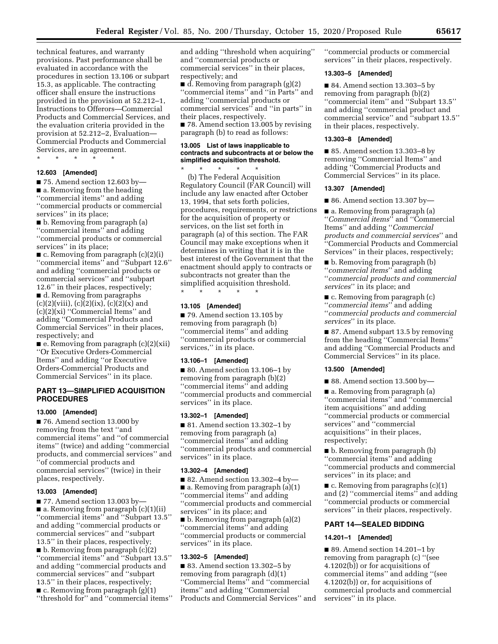technical features, and warranty provisions. Past performance shall be evaluated in accordance with the procedures in section 13.106 or subpart 15.3, as applicable. The contracting officer shall ensure the instructions provided in the provision at 52.212–1, Instructions to Offerors—Commercial Products and Commercial Services, and the evaluation criteria provided in the provision at 52.212–2, Evaluation— Commercial Products and Commercial Services, are in agreement.

\* \* \* \* \*

# **12.603 [Amended]**

 $\blacksquare$  75. Amend section 12.603 by-■ a. Removing from the heading ''commercial items'' and adding ''commercial products or commercial services'' in its place;

■ b. Removing from paragraph (a) ''commercial items'' and adding ''commercial products or commercial services'' in its place;

■ c. Removing from paragraph (c)(2)(i) ''commercial items'' and ''Subpart 12.6'' and adding ''commercial products or commercial services'' and ''subpart 12.6'' in their places, respectively;

■ d. Removing from paragraphs  $(c)(2)(viii), (c)(2)(ix), (c)(2)(x)$  and (c)(2)(xi) ''Commercial Items'' and adding ''Commercial Products and Commercial Services'' in their places, respectively; and

■ e. Removing from paragraph (c)(2)(xii) ''Or Executive Orders-Commercial Items'' and adding ''or Executive Orders-Commercial Products and Commercial Services'' in its place.

# **PART 13—SIMPLIFIED ACQUISITION PROCEDURES**

# **13.000 [Amended]**

■ 76. Amend section 13.000 by removing from the text ''and commercial items'' and ''of commercial items'' (twice) and adding ''commercial products, and commercial services'' and ''of commercial products and commercial services'' (twice) in their places, respectively.

### **13.003 [Amended]**

■ 77. Amend section 13.003 by— ■ a. Removing from paragraph (c)(1)(ii) ''commercial items'' and ''Subpart 13.5'' and adding ''commercial products or commercial services'' and ''subpart 13.5'' in their places, respectively;  $\blacksquare$  b. Removing from paragraph (c)(2) ''commercial items'' and ''Subpart 13.5'' and adding ''commercial products and commercial services'' and ''subpart 13.5'' in their places, respectively;  $\blacksquare$  c. Removing from paragraph  $(g)(1)$ ''threshold for'' and ''commercial items''

and adding ''threshold when acquiring'' and ''commercial products or commercial services'' in their places, respectively; and

■ d. Removing from paragraph (g)(2) ''commercial items'' and ''in Parts'' and adding ''commercial products or commercial services'' and ''in parts'' in their places, respectively.

■ 78. Amend section 13.005 by revising paragraph (b) to read as follows:

### **13.005 List of laws inapplicable to contracts and subcontracts at or below the simplified acquisition threshold.**

\* \* \* \* \* (b) The Federal Acquisition Regulatory Council (FAR Council) will include any law enacted after October 13, 1994, that sets forth policies, procedures, requirements, or restrictions for the acquisition of property or services, on the list set forth in paragraph (a) of this section. The FAR Council may make exceptions when it determines in writing that it is in the best interest of the Government that the enactment should apply to contracts or subcontracts not greater than the simplified acquisition threshold.

\* \* \* \* \*

#### **13.105 [Amended]**

■ 79. Amend section 13.105 by removing from paragraph (b) ''commercial items'' and adding ''commercial products or commercial services,'' in its place.

#### **13.106–1 [Amended]**

■ 80. Amend section 13.106–1 by removing from paragraph (b)(2) ''commercial items'' and adding ''commercial products and commercial services'' in its place.

#### **13.302–1 [Amended]**

■ 81. Amend section 13.302–1 by removing from paragraph (a) ''commercial items'' and adding ''commercial products and commercial services'' in its place.

### **13.302–4 [Amended]**

 $\blacksquare$  82. Amend section 13.302-4 by-■ a. Removing from paragraph (a)(1) ''commercial items'' and adding ''commercial products and commercial services'' in its place; and ■ b. Removing from paragraph (a)(2) ''commercial items'' and adding ''commercial products or commercial services'' in its place.

#### **13.302–5 [Amended]**

■ 83. Amend section 13.302–5 by removing from paragraph (d)(1) ''Commercial Items'' and ''commercial items'' and adding ''Commercial Products and Commercial Services'' and ''commercial products or commercial services'' in their places, respectively.

### **13.303–5 [Amended]**

■ 84. Amend section 13.303–5 by removing from paragraph (b)(2) ''commercial item'' and ''Subpart 13.5'' and adding ''commercial product and commercial service'' and ''subpart 13.5'' in their places, respectively.

### **13.303–8 [Amended]**

■ 85. Amend section 13.303–8 by removing ''Commercial Items'' and adding ''Commercial Products and Commercial Services'' in its place.

#### **13.307 [Amended]**

 $\blacksquare$  86. Amend section 13.307 by—

■ a. Removing from paragraph (a) ''*Commercial items*'' and ''Commercial Items'' and adding ''*Commercial products and commercial services*'' and ''Commercial Products and Commercial Services'' in their places, respectively;

■ b. Removing from paragraph (b) ''*commercial items*'' and adding ''*commercial products and commercial services*'' in its place; and

■ c. Removing from paragraph (c) ''*commercial items*'' and adding ''*commercial products and commercial services*'' in its place.

■ 87. Amend subpart 13.5 by removing from the heading ''Commercial Items'' and adding ''Commercial Products and Commercial Services'' in its place.

#### **13.500 [Amended]**

 $\blacksquare$  88. Amend section 13.500 by—

■ a. Removing from paragraph (a) ''commercial items'' and ''commercial item acquisitions'' and adding ''commercial products or commercial services'' and ''commercial acquisitions'' in their places, respectively;

■ b. Removing from paragraph (b) ''commercial items'' and adding ''commercial products and commercial services'' in its place; and

 $\blacksquare$  c. Removing from paragraphs (c)(1) and (2) ''commercial items'' and adding ''commercial products or commercial services'' in their places, respectively.

### **PART 14—SEALED BIDDING**

#### **14.201–1 [Amended]**

■ 89. Amend section 14.201–1 by removing from paragraph (c) ''(see 4.1202(b)) or for acquisitions of commercial items'' and adding ''(see 4.1202(b)) or, for acquisitions of commercial products and commercial services'' in its place.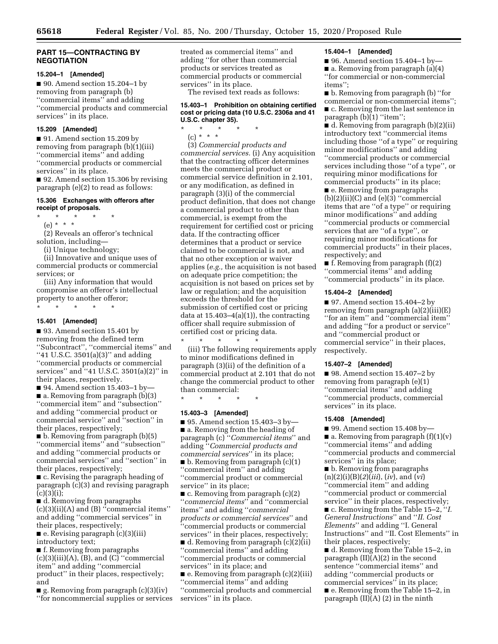### **PART 15—CONTRACTING BY NEGOTIATION**

#### **15.204–1 [Amended]**

■ 90. Amend section 15.204–1 by removing from paragraph (b) ''commercial items'' and adding ''commercial products and commercial services'' in its place.

#### **15.209 [Amended]**

■ 91. Amend section 15.209 by removing from paragraph (b)(1)(iii) ''commercial items'' and adding ''commercial products or commercial services'' in its place.

■ 92. Amend section 15.306 by revising paragraph (e)(2) to read as follows:

### **15.306 Exchanges with offerors after receipt of proposals.**

\* \* \* \* \*

(e) \* \* \*

(2) Reveals an offeror's technical solution, including—

(i) Unique technology;

(ii) Innovative and unique uses of commercial products or commercial services; or

(iii) Any information that would compromise an offeror's intellectual property to another offeror; \* \* \* \* \*

### **15.401 [Amended]**

■ 93. Amend section 15.401 by removing from the defined term ''Subcontract'', ''commercial items'' and "41 U.S.C. 3501(a)(3)" and adding ''commercial products or commercial services'' and ''41 U.S.C. 3501(a)(2)'' in their places, respectively.

 $\blacksquare$  94. Amend section 15.403-1 by ■ a. Removing from paragraph (b)(3) ''commercial item'' and ''subsection'' and adding ''commercial product or commercial service'' and ''section'' in their places, respectively;

■ b. Removing from paragraph (b)(5) ''commercial items'' and ''subsection'' and adding ''commercial products or commercial services'' and ''section'' in their places, respectively;

■ c. Revising the paragraph heading of paragraph (c)(3) and revising paragraph  $(c)(3)(i);$ 

■ d. Removing from paragraphs (c)(3)(ii)(A) and (B) ''commercial items'' and adding ''commercial services'' in their places, respectively;

■ e. Revising paragraph (c)(3)(iii) introductory text;

■ f. Removing from paragraphs  $(c)(3)(iii)(A), (B),$  and  $(C)$  "commercial" item'' and adding ''commercial product'' in their places, respectively; and

 $\blacksquare$  g. Removing from paragraph (c)(3)(iv) ''for noncommercial supplies or services treated as commercial items'' and adding ''for other than commercial products or services treated as commercial products or commercial services'' in its place.

The revised text reads as follows:

# **15.403–1 Prohibition on obtaining certified cost or pricing data (10 U.S.C. 2306a and 41 U.S.C. chapter 35).**

\* \* \* \* \*

(c) \* \* \*

(3) *Commercial products and commercial services.* (i) Any acquisition that the contracting officer determines meets the commercial product or commercial service definition in 2.101, or any modification, as defined in paragraph (3)(i) of the commercial product definition, that does not change a commercial product to other than commercial, is exempt from the requirement for certified cost or pricing data. If the contracting officer determines that a product or service claimed to be commercial is not, and that no other exception or waiver applies (*e.g.,* the acquisition is not based on adequate price competition; the acquisition is not based on prices set by law or regulation; and the acquisition exceeds the threshold for the submission of certified cost or pricing data at  $15.403-4(a)(1)$ , the contracting officer shall require submission of certified cost or pricing data.

\* \* \* \* \* (iii) The following requirements apply to minor modifications defined in paragraph (3)(ii) of the definition of a commercial product at 2.101 that do not change the commercial product to other than commercial:

\* \* \* \* \*

#### **15.403–3 [Amended]**

■ 95. Amend section 15.403–3 by— ■ a. Removing from the heading of paragraph (c) ''*Commercial items*'' and adding ''*Commercial products and commercial services*'' in its place;  $\blacksquare$  b. Removing from paragraph  $(c)(1)$ ''commercial item'' and adding ''commercial product or commercial service'' in its place;

■ c. Removing from paragraph (c)(2) ''*commercial items*'' and ''commercial items'' and adding ''*commercial products or commercial services*'' and ''commercial products or commercial services'' in their places, respectively; ■ d. Removing from paragraph (c)(2)(ii)

''commercial items'' and adding ''commercial products or commercial services'' in its place; and

■ e. Removing from paragraph (c)(2)(iii) ''commercial items'' and adding ''commercial products and commercial services'' in its place.

#### **15.404–1 [Amended]**

■ 96. Amend section 15.404–1 by— ■ a. Removing from paragraph (a)(4) ''for commercial or non-commercial items'';

■ b. Removing from paragraph (b) ''for commercial or non-commercial items''; ■ c. Removing from the last sentence in paragraph (b)(1) ''item'';

■ d. Removing from paragraph (b)(2)(ii) introductory text ''commercial items including those ''of a type'' or requiring minor modifications'' and adding ''commercial products or commercial services including those ''of a type'', or requiring minor modifications for commercial products'' in its place;

■ e. Removing from paragraphs  $(b)(2)(ii)(C)$  and  $(e)(3)$  "commercial" items that are ''of a type'' or requiring minor modifications'' and adding ''commercial products or commercial services that are ''of a type'', or requiring minor modifications for commercial products'' in their places, respectively; and

■ f. Removing from paragraph (f)(2) ''commercial items'' and adding ''commercial products'' in its place.

#### **15.404–2 [Amended]**

 $\blacksquare$  97. Amend section 15.404–2 by removing from paragraph (a)(2)(iii)(E) ''for an item'' and ''commercial item'' and adding ''for a product or service'' and ''commercial product or commercial service'' in their places, respectively.

#### **15.407–2 [Amended]**

■ 98. Amend section 15.407–2 by removing from paragraph (e)(1) ''commercial items'' and adding ''commercial products, commercial services'' in its place.

#### **15.408 [Amended]**

■ 99. Amend section 15.408 by-

 $\blacksquare$  a. Removing from paragraph  $(f)(1)(v)$ ''commercial items'' and adding ''commercial products and commercial services'' in its place;

■ b. Removing from paragraphs (n)(2)(i)(B)(*2*)(*iii*), (*iv*), and (*vi*) ''commercial item'' and adding ''commercial product or commercial service'' in their places, respectively;

■ c. Removing from the Table 15–2, ''*I. General Instructions*'' and ''*II. Cost Elements*'' and adding ''I. General Instructions'' and ''II. Cost Elements'' in their places, respectively;

■ d. Removing from the Table 15–2, in paragraph (II)(A)(2) in the second sentence ''commercial items'' and adding ''commercial products or commercial services'' in its place; ■ e. Removing from the Table 15–2, in paragraph  $(II)(A)$  (2) in the ninth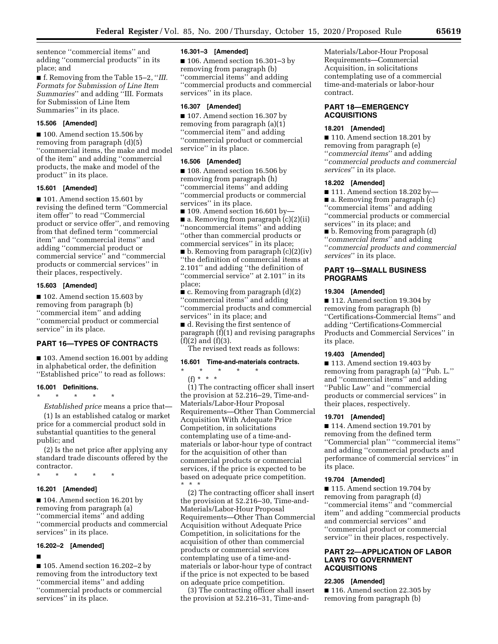sentence ''commercial items'' and adding ''commercial products'' in its place; and

■ f. Removing from the Table 15–2, "*III. Formats for Submission of Line Item Summaries*'' and adding ''III. Formats for Submission of Line Item Summaries'' in its place.

# **15.506 [Amended]**

■ 100. Amend section 15.506 by removing from paragraph (d)(5) ''commercial items, the make and model of the item'' and adding ''commercial products, the make and model of the product'' in its place.

### **15.601 [Amended]**

■ 101. Amend section 15.601 by revising the defined term ''Commercial item offer'' to read ''Commercial product or service offer'', and removing from that defined term ''commercial item'' and ''commercial items'' and adding ''commercial product or commercial service'' and ''commercial products or commercial services'' in their places, respectively.

#### **15.603 [Amended]**

■ 102. Amend section 15.603 by removing from paragraph (b) ''commercial item'' and adding ''commercial product or commercial service'' in its place.

# **PART 16—TYPES OF CONTRACTS**

■ 103. Amend section 16.001 by adding in alphabetical order, the definition ''Established price'' to read as follows:

#### **16.001 Definitions.**

\* \* \* \* \*

*Established price* means a price that— (1) Is an established catalog or market price for a commercial product sold in substantial quantities to the general public; and

(2) Is the net price after applying any standard trade discounts offered by the contractor.

\* \* \* \* \*

#### **16.201 [Amended]**

■ 104. Amend section 16.201 by removing from paragraph (a) ''commercial items'' and adding ''commercial products and commercial services'' in its place.

## **16.202–2 [Amended]**

■

■ 105. Amend section 16.202–2 by removing from the introductory text ''commercial items'' and adding ''commercial products or commercial services'' in its place.

#### **16.301–3 [Amended]**

■ 106. Amend section 16.301–3 by removing from paragraph (b) ''commercial items'' and adding ''commercial products and commercial services'' in its place.

#### **16.307 [Amended]**

■ 107. Amend section 16.307 by removing from paragraph (a)(1) ''commercial item'' and adding ''commercial product or commercial service'' in its place.

#### **16.506 [Amended]**

■ 108. Amend section 16.506 by removing from paragraph (h) ''commercial items'' and adding ''commercial products or commercial services'' in its place.

 $\blacksquare$  109. Amend section 16.601 by ■ a. Removing from paragraph (c)(2)(ii) ''noncommercial items'' and adding ''other than commercial products or commercial services'' in its place;

■ b. Removing from paragraph (c)(2)(iv) ''the definition of commercial items at 2.101'' and adding ''the definition of ''commercial service'' at 2.101'' in its place;

■ c. Removing from paragraph (d)(2) ''commercial items'' and adding ''commercial products and commercial services'' in its place; and

■ d. Revising the first sentence of paragraph (f)(1) and revising paragraphs  $(f)(2)$  and  $(f)(3)$ .

The revised text reads as follows:

#### **16.601 Time-and-materials contracts.**

\* \* \* \* \* (f) \* \* \*

(1) The contracting officer shall insert the provision at 52.216–29, Time-and-Materials/Labor-Hour Proposal Requirements—Other Than Commercial Acquisition With Adequate Price Competition, in solicitations contemplating use of a time-andmaterials or labor-hour type of contract for the acquisition of other than commercial products or commercial services, if the price is expected to be based on adequate price competition. \* \* \*

(2) The contracting officer shall insert the provision at 52.216–30, Time-and-Materials/Labor-Hour Proposal Requirements—Other Than Commercial Acquisition without Adequate Price Competition, in solicitations for the acquisition of other than commercial products or commercial services contemplating use of a time-andmaterials or labor-hour type of contract if the price is not expected to be based on adequate price competition.

(3) The contracting officer shall insert the provision at 52.216–31, Time-andMaterials/Labor-Hour Proposal Requirements—Commercial Acquisition, in solicitations contemplating use of a commercial time-and-materials or labor-hour contract.

# **PART 18—EMERGENCY ACQUISITIONS**

# **18.201 [Amended]**

■ 110. Amend section 18.201 by removing from paragraph (e) ''*commercial items*'' and adding ''*commercial products and commercial services*'' in its place.

# **18.202 [Amended]**

■ 111. Amend section 18.202 by— ■ a. Removing from paragraph (c) ''commercial items'' and adding ''commercial products or commercial services'' in its place; and

■ b. Removing from paragraph (d) ''*commercial items*'' and adding ''*commercial products and commercial services*'' in its place.

### **PART 19—SMALL BUSINESS PROGRAMS**

#### **19.304 [Amended]**

■ 112. Amend section 19.304 by removing from paragraph (b) ''Certifications-Commercial Items'' and adding ''Certifications-Commercial Products and Commercial Services'' in its place.

# **19.403 [Amended]**

■ 113. Amend section 19.403 by removing from paragraph (a) ''Pub. L.'' and ''commercial items'' and adding ''Public Law'' and ''commercial products or commercial services'' in their places, respectively.

### **19.701 [Amended]**

■ 114. Amend section 19.701 by removing from the defined term ''Commercial plan'' ''commercial items'' and adding ''commercial products and performance of commercial services'' in its place.

#### **19.704 [Amended]**

■ 115. Amend section 19.704 by removing from paragraph (d) ''commercial items'' and ''commercial item'' and adding ''commercial products and commercial services'' and ''commercial product or commercial service'' in their places, respectively.

# **PART 22—APPLICATION OF LABOR LAWS TO GOVERNMENT ACQUISITIONS**

### **22.305 [Amended]**

■ 116. Amend section 22.305 by removing from paragraph (b)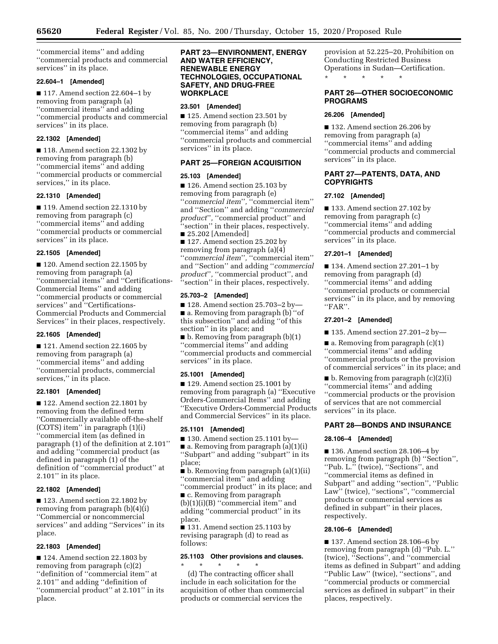''commercial items'' and adding ''commercial products and commercial services'' in its place.

# **22.604–1 [Amended]**

■ 117. Amend section 22.604–1 by removing from paragraph (a) ''commercial items'' and adding ''commercial products and commercial services'' in its place.

### **22.1302 [Amended]**

■ 118. Amend section 22.1302 by removing from paragraph (b) ''commercial items'' and adding ''commercial products or commercial services," in its place.

### **22.1310 [Amended]**

■ 119. Amend section 22.1310 by removing from paragraph (c) ''commercial items'' and adding ''commercial products or commercial services'' in its place.

### **22.1505 [Amended]**

■ 120. Amend section 22.1505 by removing from paragraph (a) ''commercial items'' and ''Certifications-Commercial Items'' and adding ''commercial products or commercial services'' and ''Certifications-Commercial Products and Commercial Services'' in their places, respectively.

### **22.1605 [Amended]**

■ 121. Amend section 22.1605 by removing from paragraph (a) ''commercial items'' and adding ''commercial products, commercial services,'' in its place.

### **22.1801 [Amended]**

■ 122. Amend section 22.1801 by removing from the defined term ''Commercially available off-the-shelf (COTS) item'' in paragraph (1)(i) ''commercial item (as defined in paragraph (1) of the definition at 2.101'' and adding ''commercial product (as defined in paragraph (1) of the definition of ''commercial product'' at 2.101'' in its place.

### **22.1802 [Amended]**

■ 123. Amend section 22.1802 by removing from paragraph (b)(4)(i) ''Commercial or noncommercial services'' and adding ''Services'' in its place.

### **22.1803 [Amended]**

■ 124. Amend section 22.1803 by removing from paragraph (c)(2) ''definition of ''commercial item'' at 2.101'' and adding ''definition of ''commercial product'' at 2.101'' in its place.

# **PART 23—ENVIRONMENT, ENERGY AND WATER EFFICIENCY, RENEWABLE ENERGY TECHNOLOGIES, OCCUPATIONAL SAFETY, AND DRUG-FREE WORKPLACE**

### **23.501 [Amended]**

■ 125. Amend section 23.501 by removing from paragraph (b) ''commercial items'' and adding ''commercial products and commercial services'' in its place.

### **PART 25—FOREIGN ACQUISITION**

### **25.103 [Amended]**

■ 126. Amend section 25.103 by removing from paragraph (e) ''*commercial item*''*,* ''commercial item'' and ''Section'' and adding ''*commercial product*''*,* ''commercial product'' and ''section'' in their places, respectively. ■ 25.202 [Amended]

■ 127. Amend section 25.202 by removing from paragraph (a)(4) ''*commercial item*''*,* ''commercial item'' and ''Section'' and adding ''*commercial product*''*,* ''commercial product'', and ''section'' in their places, respectively.

### **25.703–2 [Amended]**

■ 128. Amend section 25.703-2 by-■ a. Removing from paragraph (b) "of this subsection'' and adding ''of this section'' in its place; and

■ b. Removing from paragraph (b)(1) ''commercial items'' and adding ''commercial products and commercial services'' in its place.

### **25.1001 [Amended]**

■ 129. Amend section 25.1001 by removing from paragraph (a) ''Executive Orders-Commercial Items'' and adding ''Executive Orders-Commercial Products and Commercial Services'' in its place.

### **25.1101 [Amended]**

 $\blacksquare$  130. Amend section 25.1101 by- $\blacksquare$  a. Removing from paragraph (a)(1)(i) ''Subpart'' and adding ''subpart'' in its place;

■ b. Removing from paragraph (a)(1)(ii) ''commercial item'' and adding

''commercial product'' in its place; and ■ c. Removing from paragraph

 $(b)(1)(i)(B)$  "commercial item" and adding ''commercial product'' in its place.

■ 131. Amend section 25.1103 by revising paragraph (d) to read as follows:

# **25.1103 Other provisions and clauses.**  \* \* \* \* \*

(d) The contracting officer shall include in each solicitation for the acquisition of other than commercial products or commercial services the

provision at 52.225–20, Prohibition on Conducting Restricted Business Operations in Sudan—Certification. \* \* \* \* \*

# **PART 26—OTHER SOCIOECONOMIC PROGRAMS**

# **26.206 [Amended]**

■ 132. Amend section 26.206 by removing from paragraph (a) ''commercial items'' and adding ''commercial products and commercial services'' in its place.

# **PART 27—PATENTS, DATA, AND COPYRIGHTS**

# **27.102 [Amended]**

■ 133. Amend section 27.102 by removing from paragraph (c) ''commercial items'' and adding ''commercial products and commercial services'' in its place.

### **27.201–1 [Amended]**

■ 134. Amend section 27.201–1 by removing from paragraph (d) ''commercial items'' and adding ''commercial products or commercial services'' in its place, and by removing ''FAR''.

# **27.201–2 [Amended]**

■ 135. Amend section 27.201–2 by—

 $\blacksquare$  a. Removing from paragraph  $(c)(1)$ ''commercial items'' and adding ''commercial products or the provision of commercial services'' in its place; and

■ b. Removing from paragraph (c)(2)(i) ''commercial items'' and adding ''commercial products or the provision of services that are not commercial services'' in its place.

# **PART 28—BONDS AND INSURANCE**

### **28.106–4 [Amended]**

■ 136. Amend section 28.106–4 by removing from paragraph (b) ''Section'', ''Pub. L.'' (twice), ''Sections'', and ''commercial items as defined in Subpart'' and adding ''section'', ''Public Law<sup>"</sup> (twice), "sections", "commercial products or commercial services as defined in subpart'' in their places, respectively.

### **28.106–6 [Amended]**

■ 137. Amend section 28.106–6 by removing from paragraph (d) ''Pub. L.'' (twice), ''Sections'', and ''commercial items as defined in Subpart'' and adding ''Public Law'' (twice), ''sections'', and ''commercial products or commercial services as defined in subpart'' in their places, respectively.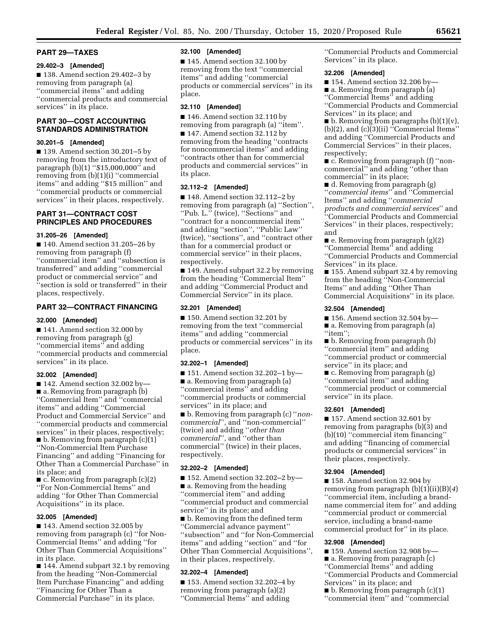#### **PART 29—TAXES**

### **29.402–3 [Amended]**

■ 138. Amend section 29.402–3 by removing from paragraph (a) ''commercial items'' and adding ''commercial products and commercial services'' in its place.

# **PART 30—COST ACCOUNTING STANDARDS ADMINISTRATION**

# **30.201–5 [Amended]**

■ 139. Amend section 30.201–5 by removing from the introductory text of paragraph (b)(1) ''\$15,000,000'' and removing from (b)(1)(i) ''commercial items'' and adding ''\$15 million'' and ''commercial products or commercial services'' in their places, respectively.

# **PART 31—CONTRACT COST PRINCIPLES AND PROCEDURES**

# **31.205–26 [Amended]**

■ 140. Amend section 31.205–26 by removing from paragraph (f) ''commercial item'' and ''subsection is transferred'' and adding ''commercial product or commercial service'' and ''section is sold or transferred'' in their places, respectively.

# **PART 32—CONTRACT FINANCING**

# **32.000 [Amended]**

■ 141. Amend section 32.000 by removing from paragraph (g) ''commercial items'' and adding ''commercial products and commercial services'' in its place.

# **32.002 [Amended]**

 $\blacksquare$  142. Amend section 32.002 by— ■ a. Removing from paragraph (b) ''Commercial Item'' and ''commercial items'' and adding ''Commercial Product and Commercial Service'' and ''commercial products and commercial services'' in their places, respectively;  $\blacksquare$  b. Removing from paragraph  $(c)(1)$ ''Non-Commercial Item Purchase Financing'' and adding ''Financing for Other Than a Commercial Purchase'' in its place; and

 $\blacksquare$  c. Removing from paragraph  $(c)(2)$ ''For Non-Commercial Items'' and adding ''for Other Than Commercial Acquisitions'' in its place.

### **32.005 [Amended]**

■ 143. Amend section 32.005 by removing from paragraph (c) ''for Non-Commercial Items'' and adding ''for Other Than Commercial Acquisitions'' in its place.

■ 144. Amend subpart 32.1 by removing from the heading ''Non-Commercial Item Purchase Financing'' and adding ''Financing for Other Than a Commercial Purchase'' in its place.

#### **32.100 [Amended]**

■ 145. Amend section 32.100 by removing from the text ''commercial items'' and adding ''commercial products or commercial services'' in its place.

# **32.110 [Amended]**

■ 146. Amend section 32.110 by removing from paragraph (a) ''item''. ■ 147. Amend section 32.112 by removing from the heading ''contracts for noncommercial items'' and adding ''contracts other than for commercial products and commercial services'' in its place.

# **32.112–2 [Amended]**

■ 148. Amend section 32.112–2 by removing from paragraph (a) ''Section'', ''Pub. L.'' (twice), ''Sections'' and ''contract for a noncommercial item'' and adding ''section'', ''Public Law'' (twice), ''sections'', and ''contract other than for a commercial product or commercial service'' in their places, respectively.

■ 149. Amend subpart 32.2 by removing from the heading ''Commercial Item'' and adding ''Commercial Product and Commercial Service'' in its place.

#### **32.201 [Amended]**

■ 150. Amend section 32.201 by removing from the text ''commercial items'' and adding ''commercial products or commercial services'' in its place.

### **32.202–1 [Amended]**

 $\blacksquare$  151. Amend section 32.202-1 by— ■ a. Removing from paragraph (a) ''commercial items'' and adding ''commercial products or commercial services'' in its place; and ■ b. Removing from paragraph (c) ''*non-*

*commercial*''*,* and ''non-commercial'' (twice) and adding ''*other than commercial*''*,* and ''other than commercial'' (twice) in their places, respectively.

# **32.202–2 [Amended]**

■ 152. Amend section 32.202–2 by—

■ a. Removing from the heading ''commercial item'' and adding ''commercial product and commercial service'' in its place; and

■ b. Removing from the defined term ''Commercial advance payment'' ''subsection'' and ''for Non-Commercial items'' and adding ''section'' and ''for Other Than Commercial Acquisitions'', in their places, respectively.

#### **32.202–4 [Amended]**

■ 153. Amend section 32.202–4 by removing from paragraph (a)(2) ''Commercial Items'' and adding

''Commercial Products and Commercial Services'' in its place.

#### **32.206 [Amended]**

■ 154. Amend section 32.206 by-■ a. Removing from paragraph (a) ''Commercial Items'' and adding ''Commercial Products and Commercial Services'' in its place; and

 $\blacksquare$  b. Removing from paragraphs (b)(1)(v), (b)(2), and (c)(3)(ii) ''Commercial Items'' and adding ''Commercial Products and Commercial Services'' in their places, respectively;

■ c. Removing from paragraph (f) "noncommercial'' and adding ''other than commercial'' in its place;

■ d. Removing from paragraph (g) ''*commercial items*'' and ''Commercial Items'' and adding ''*commercial products and commercial services*'' and ''Commercial Products and Commercial Services'' in their places, respectively; and

■ e. Removing from paragraph (g)(2) ''Commercial Items'' and adding ''Commercial Products and Commercial Services'' in its place.

■ 155. Amend subpart 32.4 by removing from the heading ''Non-Commercial Items'' and adding ''Other Than Commercial Acquisitions'' in its place.

#### **32.504 [Amended]**

 $\blacksquare$  156. Amend section 32.504 by-■ a. Removing from paragraph (a)

"item";

- b. Removing from paragraph (b)
- ''commercial item'' and adding ''commercial product or commercial service'' in its place; and
- c. Removing from paragraph (g) "commercial item" and adding

''commercial product or commercial service'' in its place.

# **32.601 [Amended]**

■ 157. Amend section 32.601 by removing from paragraphs (b)(3) and (b)(10) ''commercial item financing'' and adding ''financing of commercial products or commercial services'' in their places, respectively.

#### **32.904 [Amended]**

■ 158. Amend section 32.904 by removing from paragraph (b)(1)(ii)(B)(*4*) ''commercial item, including a brandname commercial item for'' and adding ''commercial product or commercial service, including a brand-name commercial product for'' in its place.

### **32.908 [Amended]**

 $\blacksquare$  159. Amend section 32.908 by-

■ a. Removing from paragraph (c)

- ''Commercial Items'' and adding
- ''Commercial Products and Commercial Services'' in its place; and
- b. Removing from paragraph (c)(1)
- ''commercial item'' and ''commercial
-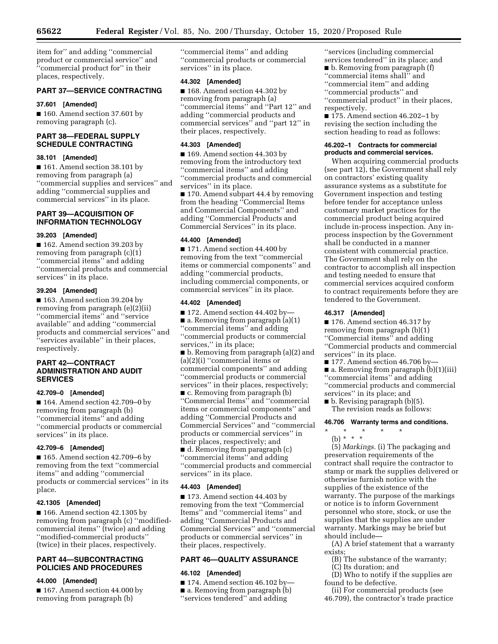item for'' and adding ''commercial product or commercial service'' and ''commercial product for'' in their places, respectively.

# **PART 37—SERVICE CONTRACTING**

#### **37.601 [Amended]**

■ 160. Amend section 37.601 by removing paragraph (c).

# **PART 38—FEDERAL SUPPLY SCHEDULE CONTRACTING**

### **38.101 [Amended]**

■ 161. Amend section 38.101 by removing from paragraph (a) ''commercial supplies and services'' and adding ''commercial supplies and commercial services'' in its place.

# **PART 39—ACQUISITION OF INFORMATION TECHNOLOGY**

# **39.203 [Amended]**

■ 162. Amend section 39.203 by removing from paragraph (c)(1) ''commercial items'' and adding ''commercial products and commercial services'' in its place.

#### **39.204 [Amended]**

■ 163. Amend section 39.204 by removing from paragraph (e)(2)(ii) ''commercial items'' and ''service available'' and adding ''commercial products and commercial services'' and ''services available'' in their places, respectively.

# **PART 42—CONTRACT ADMINISTRATION AND AUDIT SERVICES**

#### **42.709–0 [Amended]**

■ 164. Amend section 42.709–0 by removing from paragraph (b) ''commercial items'' and adding ''commercial products or commercial services'' in its place.

### **42.709–6 [Amended]**

■ 165. Amend section 42.709–6 by removing from the text ''commercial items'' and adding ''commercial products or commercial services'' in its place.

### **42.1305 [Amended]**

■ 166. Amend section 42.1305 by removing from paragraph (c) ''modifiedcommercial items'' (twice) and adding ''modified-commercial products'' (twice) in their places, respectively.

# **PART 44—SUBCONTRACTING POLICIES AND PROCEDURES**

### **44.000 [Amended]**

■ 167. Amend section 44.000 by removing from paragraph (b)

''commercial items'' and adding ''commercial products or commercial services'' in its place.

# **44.302 [Amended]**

■ 168. Amend section 44.302 by removing from paragraph (a) ''commercial items'' and ''Part 12'' and adding ''commercial products and commercial services'' and ''part 12'' in their places, respectively.

# **44.303 [Amended]**

■ 169. Amend section 44.303 by removing from the introductory text ''commercial items'' and adding ''commercial products and commercial services'' in its place. ■ 170. Amend subpart 44.4 by removing

from the heading ''Commercial Items and Commercial Components'' and adding ''Commercial Products and Commercial Services'' in its place.

# **44.400 [Amended]**

■ 171. Amend section 44.400 by removing from the text ''commercial items or commercial components'' and adding ''commercial products, including commercial components, or commercial services'' in its place.

## **44.402 [Amended]**

■ 172. Amend section 44.402 by— ■ a. Removing from paragraph (a)(1) ''commercial items'' and adding ''commercial products or commercial services,'' in its place;

■ b. Removing from paragraph (a)(2) and (a)(2)(i) ''commercial items or commercial components'' and adding ''commercial products or commercial services'' in their places, respectively; ■ c. Removing from paragraph (b)

''Commercial Items'' and ''commercial items or commercial components'' and adding ''Commercial Products and Commercial Services'' and ''commercial products or commercial services'' in their places, respectively; and

■ d. Removing from paragraph (c) ''commercial items'' and adding ''commercial products and commercial services'' in its place.

#### **44.403 [Amended]**

■ 173. Amend section 44.403 by removing from the text ''Commercial Items'' and ''commercial items'' and adding ''Commercial Products and Commercial Services'' and ''commercial products or commercial services'' in their places, respectively.

# **PART 46—QUALITY ASSURANCE**

#### **46.102 [Amended]**

■ 174. Amend section 46.102 by-■ a. Removing from paragraph (b) ''services tendered'' and adding

''services (including commercial services tendered'' in its place; and ■ b. Removing from paragraph (f) ''commercial items shall'' and ''commercial item'' and adding ''commercial products'' and ''commercial product'' in their places, respectively.

■ 175. Amend section 46.202–1 by revising the section including the section heading to read as follows:

### **46.202–1 Contracts for commercial products and commercial services.**

When acquiring commercial products (see part 12), the Government shall rely on contractors' existing quality assurance systems as a substitute for Government inspection and testing before tender for acceptance unless customary market practices for the commercial product being acquired include in-process inspection. Any inprocess inspection by the Government shall be conducted in a manner consistent with commercial practice. The Government shall rely on the contractor to accomplish all inspection and testing needed to ensure that commercial services acquired conform to contract requirements before they are tendered to the Government.

### **46.317 [Amended]**

■ 176. Amend section 46.317 by

removing from paragraph (b)(1)

''Commercial items'' and adding

- ''Commercial products and commercial services'' in its place.
- 177. Amend section 46.706 by-
- a. Removing from paragraph (b)(1)(iii)
- ''commercial items'' and adding
- ''commercial products and commercial services'' in its place; and

 $\blacksquare$  b. Revising paragraph (b)(5).

The revision reads as follows:

#### **46.706 Warranty terms and conditions.**

\* \* \* \* \*

(b) \* \* \* (5) *Markings.* (i) The packaging and preservation requirements of the contract shall require the contractor to stamp or mark the supplies delivered or otherwise furnish notice with the supplies of the existence of the warranty. The purpose of the markings or notice is to inform Government personnel who store, stock, or use the supplies that the supplies are under warranty. Markings may be brief but should include—

(A) A brief statement that a warranty exists;

- (B) The substance of the warranty;
- (C) Its duration; and
- (D) Who to notify if the supplies are found to be defective.

(ii) For commercial products (see 46.709), the contractor's trade practice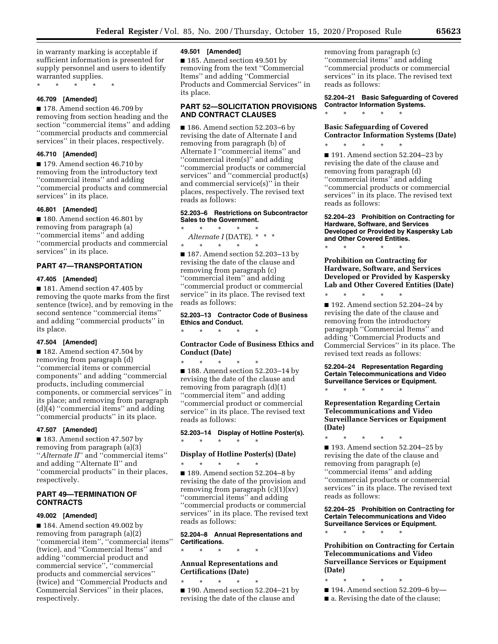in warranty marking is acceptable if sufficient information is presented for supply personnel and users to identify warranted supplies.

\* \* \* \* \*

#### **46.709 [Amended]**

■ 178. Amend section 46.709 by removing from section heading and the section ''commercial items'' and adding ''commercial products and commercial services'' in their places, respectively.

#### **46.710 [Amended]**

■ 179. Amend section 46.710 by removing from the introductory text ''commercial items'' and adding ''commercial products and commercial services'' in its place.

#### **46.801 [Amended]**

■ 180. Amend section 46.801 by removing from paragraph (a) ''commercial items'' and adding ''commercial products and commercial services'' in its place.

#### **PART 47—TRANSPORTATION**

#### **47.405 [Amended]**

■ 181. Amend section 47.405 by removing the quote marks from the first sentence (twice), and by removing in the second sentence ''commercial items'' and adding ''commercial products'' in its place.

#### **47.504 [Amended]**

■ 182. Amend section 47.504 by removing from paragraph (d) ''commercial items or commercial components'' and adding ''commercial products, including commercial components, or commercial services'' in its place; and removing from paragraph (d)(4) ''commercial items'' and adding "commercial products" in its place.

#### **47.507 [Amended]**

■ 183. Amend section 47.507 by removing from paragraph (a)(3) ''*Alternate II*'' and ''commercial items'' and adding ''Alternate II'' and ''commercial products'' in their places, respectively.

# **PART 49—TERMINATION OF CONTRACTS**

#### **49.002 [Amended]**

■ 184. Amend section 49.002 by removing from paragraph (a)(2) ''commercial item'', ''commercial items'' (twice), and ''Commercial Items'' and adding ''commercial product and commercial service'', ''commercial products and commercial services'' (twice) and ''Commercial Products and Commercial Services'' in their places, respectively.

#### **49.501 [Amended]**

■ 185. Amend section 49.501 by removing from the text ''Commercial Items'' and adding ''Commercial Products and Commercial Services'' in its place.

# **PART 52—SOLICITATION PROVISIONS AND CONTRACT CLAUSES**

■ 186. Amend section 52.203–6 by revising the date of Alternate I and removing from paragraph (b) of Alternate I ''commercial items'' and ''commercial item(s)'' and adding ''commercial products or commercial services'' and ''commercial product(s) and commercial service(s)'' in their places, respectively. The revised text reads as follows:

#### **52.203–6 Restrictions on Subcontractor Sales to the Government.**  \* \* \* \* \*

*Alternate I* (DATE). \* \* \* \* \* \* \* \*

\* \* \* \* \*

■ 187. Amend section 52.203–13 by revising the date of the clause and removing from paragraph (c) ''commercial item'' and adding ''commercial product or commercial service'' in its place. The revised text reads as follows:

### **52.203–13 Contractor Code of Business Ethics and Conduct.**

**Contractor Code of Business Ethics and Conduct (Date)** 

\* \* \* \* \* ■ 188. Amend section 52.203-14 by revising the date of the clause and removing from paragraph (d)(1) ''commercial item'' and adding ''commercial product or commercial service'' in its place. The revised text reads as follows:

# **52.203–14 Display of Hotline Poster(s).**  \* \* \* \* \*

# **Display of Hotline Poster(s) (Date)**  \* \* \* \* \*

■ 189. Amend section 52.204–8 by revising the date of the provision and removing from paragraph (c)(1)(xv) ''commercial items'' and adding ''commercial products or commercial services'' in its place. The revised text reads as follows:

# **52.204–8 Annual Representations and Certifications.**

# **Annual Representations and Certifications (Date)**

\* \* \* \* \*

\* \* \* \* \* ■ 190. Amend section 52.204–21 by revising the date of the clause and

removing from paragraph (c) ''commercial items'' and adding ''commercial products or commercial services'' in its place. The revised text reads as follows:

### **52.204–21 Basic Safeguarding of Covered Contractor Information Systems.**

\* \* \* \* \*

# **Basic Safeguarding of Covered Contractor Information Systems (Date)**

\* \* \* \* \* ■ 191. Amend section 52.204–23 by revising the date of the clause and removing from paragraph (d) ''commercial items'' and adding ''commercial products or commercial services'' in its place. The revised text reads as follows:

**52.204–23 Prohibition on Contracting for Hardware, Software, and Services Developed or Provided by Kaspersky Lab and Other Covered Entities.** 

\* \* \* \* \*

**Prohibition on Contracting for Hardware, Software, and Services Developed or Provided by Kaspersky Lab and Other Covered Entities (Date)** 

\* \* \* \* \* ■ 192. Amend section 52.204–24 by revising the date of the clause and removing from the introductory paragraph ''Commercial Items'' and adding ''Commercial Products and Commercial Services'' in its place. The revised text reads as follows:

**52.204–24 Representation Regarding Certain Telecommunications and Video Surveillance Services or Equipment.**  \* \* \* \* \*

# **Representation Regarding Certain Telecommunications and Video Surveillance Services or Equipment (Date)**

\* \* \* \* \* ■ 193. Amend section 52.204–25 by revising the date of the clause and removing from paragraph (e) ''commercial items'' and adding ''commercial products or commercial services'' in its place. The revised text reads as follows:

**52.204–25 Prohibition on Contracting for Certain Telecommunications and Video Surveillance Services or Equipment.** 

\* \* \* \* \*

**Prohibition on Contracting for Certain Telecommunications and Video Surveillance Services or Equipment (Date)** 

- \* \* \* \* \*
- 194. Amend section 52.209–6 by—
- a. Revising the date of the clause;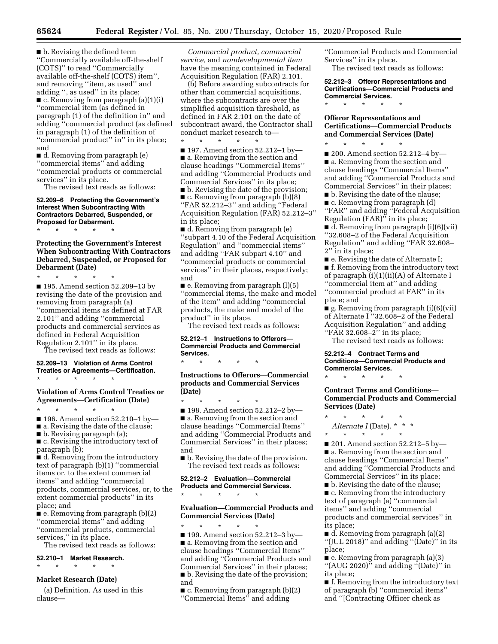■ b. Revising the defined term ''Commercially available off-the-shelf (COTS)'' to read ''Commercially available off-the-shelf (COTS) item'', and removing ''item, as used'' and adding '', as used'' in its place;

■ c. Removing from paragraph (a)(1)(i) ''commercial item (as defined in paragraph (1) of the definition in'' and adding ''commercial product (as defined in paragraph (1) of the definition of "commercial product" in" in its place; and

■ d. Removing from paragraph (e) ''commercial items'' and adding ''commercial products or commercial services'' in its place.

The revised text reads as follows:

**52.209–6 Protecting the Government's Interest When Subcontracting With Contractors Debarred, Suspended, or Proposed for Debarment.** 

**Protecting the Government's Interest When Subcontracting With Contractors Debarred, Suspended, or Proposed for Debarment (Date)** 

\* \* \* \* \*

\* \* \* \* \*

■ 195. Amend section 52.209-13 by revising the date of the provision and removing from paragraph (a) ''commercial items as defined at FAR 2.101'' and adding ''commercial products and commercial services as defined in Federal Acquisition Regulation 2.101'' in its place. The revised text reads as follows:

#### **52.209–13 Violation of Arms Control Treaties or Agreements—Certification.**  \* \* \* \* \*

# **Violation of Arms Control Treaties or Agreements—Certification (Date)**

\* \* \* \* \*

■ 196. Amend section 52.210–1 by—

■ a. Revising the date of the clause;

■ b. Revising paragraph (a);

■ c. Revising the introductory text of paragraph (b);

■ d. Removing from the introductory text of paragraph (b)(1) ''commercial items or, to the extent commercial items'' and adding ''commercial products, commercial services, or, to the extent commercial products'' in its place; and

■ e. Removing from paragraph (b)(2) ''commercial items'' and adding ''commercial products, commercial services,'' in its place.

The revised text reads as follows:

# **52.210–1 Market Research.**

\* \* \* \* \*

# **Market Research (Date)**

(a) Definition. As used in this clause—

*Commercial product, commercial service,* and *nondevelopmental item*  have the meaning contained in Federal Acquisition Regulation (FAR) 2.101.

(b) Before awarding subcontracts for other than commercial acquisitions, where the subcontracts are over the simplified acquisition threshold, as defined in FAR 2.101 on the date of subcontract award, the Contractor shall conduct market research to— \* \* \* \* \*

■ 197. Amend section 52.212–1 by— ■ a. Removing from the section and clause headings ''Commercial Items'' and adding ''Commercial Products and Commercial Services'' in its place; ■ b. Revising the date of the provision; ■ c. Removing from paragraph (b)(8) ''FAR 52.212–3'' and adding ''Federal Acquisition Regulation (FAR) 52.212–3'' in its place;

■ d. Removing from paragraph (e) ''subpart 4.10 of the Federal Acquisition Regulation'' and ''commercial items'' and adding ''FAR subpart 4.10'' and ''commercial products or commercial services'' in their places, respectively; and

■ e. Removing from paragraph (l)(5) ''commercial items, the make and model of the item'' and adding ''commercial products, the make and model of the product'' in its place.

The revised text reads as follows:

## **52.212–1 Instructions to Offerors— Commercial Products and Commercial Services.**

\* \* \* \* \*

**Instructions to Offerors—Commercial products and Commercial Services (Date)** 

\* \* \* \* \* ■ 198. Amend section 52.212–2 by— ■ a. Removing from the section and clause headings ''Commercial Items'' and adding ''Commercial Products and Commercial Services'' in their places; and

■ b. Revising the date of the provision. The revised text reads as follows:

# **52.212–2 Evaluation—Commercial Products and Commercial Services.**  \* \* \* \* \*

# **Evaluation—Commercial Products and Commercial Services (Date)**

\* \* \* \* \* ■ 199. Amend section 52.212–3 by— ■ a. Removing from the section and clause headings ''Commercial Items'' and adding ''Commercial Products and Commercial Services'' in their places; ■ b. Revising the date of the provision; and

 $\blacksquare$  c. Removing from paragraph (b)(2) ''Commercial Items'' and adding

''Commercial Products and Commercial Services'' in its place.

The revised text reads as follows:

**52.212–3 Offeror Representations and Certifications—Commercial Products and Commercial Services.** 

**Offeror Representations and Certifications—Commercial Products and Commercial Services (Date)** 

\* \* \* \* \*

\* \* \* \* \* ■ 200. Amend section 52.212–4 by— ■ a. Removing from the section and clause headings ''Commercial Items'' and adding ''Commercial Products and Commercial Services'' in their places; ■ b. Revising the date of the clause;

■ c. Removing from paragraph (d) ''FAR'' and adding ''Federal Acquisition

Regulation (FAR)'' in its place; ■ d. Removing from paragraph (i)(6)(vii) ''32.608–2 of the Federal Acquisition Regulation'' and adding ''FAR 32.608– 2'' in its place;

■ e. Revising the date of Alternate I; ■ f. Removing from the introductory text of paragraph (i)(1)(ii)(A) of Alternate I ''commercial item at'' and adding ''commercial product at FAR'' in its place; and

■ g. Removing from paragraph (i)(6)(vii) of Alternate I ''32.608–2 of the Federal Acquisition Regulation'' and adding ''FAR 32.608–2'' in its place;

The revised text reads as follows:

# **52.212–4 Contract Terms and Conditions—Commercial Products and Commercial Services.**

\* \* \* \* \*

# **Contract Terms and Conditions— Commercial Products and Commercial Services (Date)**

\* \* \* \* \* Alternate I (Date). \* \* \*

\* \* \* \* \*

■ 201. Amend section 52.212–5 by— ■ a. Removing from the section and clause headings ''Commercial Items'' and adding ''Commercial Products and Commercial Services'' in its place;

■ b. Revising the date of the clause; ■ c. Removing from the introductory text of paragraph (a) ''commercial items'' and adding ''commercial products and commercial services'' in its place;

■ d. Removing from paragraph (a)(2) ''(JUL 2018)'' and adding ''(Date)'' in its place;

■ e. Removing from paragraph (a)(3) ''(AUG 2020)'' and adding ''(Date)'' in its place;

■ f. Removing from the introductory text of paragraph (b) ''commercial items'' and ''[Contracting Officer check as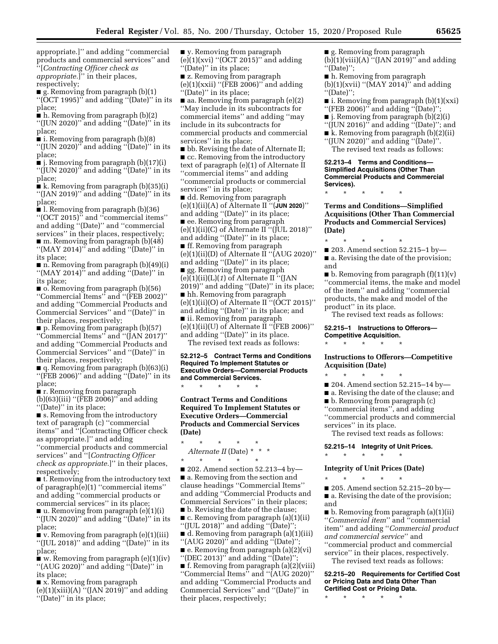appropriate.]'' and adding ''commercial products and commercial services'' and ''[*Contracting Officer check as appropriate.*]'' in their places,

respectively;

 $\blacksquare$  g. Removing from paragraph (b)(1) ''(OCT 1995)'' and adding ''(Date)'' in its place;

■ h. Removing from paragraph (b)(2) ''(JUN 2020)'' and adding ''(Date)'' in its place;

■ i. Removing from paragraph (b)(8)

" $($ JUN 2020 $)$ " and adding "(Date)" in its place;

■ j. Removing from paragraph (b)(17)(i) ''(JUN 2020)'' and adding ''(Date)'' in its place;

■ k. Removing from paragraph (b)(35)(i) ''(JAN 2019)'' and adding ''(Date)'' in its place;

■ l. Removing from paragraph (b)(36) ''(OCT 2015)'' and ''commercial items'' and adding ''(Date)'' and ''commercial services'' in their places, respectively; ■ m. Removing from paragraph (b)(48) ''(MAY 2014)'' and adding ''(Date)'' in its place;

■ n. Removing from paragraph (b)(49)(i) " $(MAY 2014)$ " and adding " $(Date)$ " in its place;

■ o. Removing from paragraph (b)(56) ''Commercial Items'' and ''(FEB 2002)'' and adding ''Commercial Products and Commercial Services'' and ''(Date)'' in their places, respectively;

 $\blacksquare$  p. Removing from paragraph (b)(57) ''Commercial Items'' and ''(JAN 2017)'' and adding ''Commercial Products and Commercial Services'' and ''(Date)'' in their places, respectively;

■ q. Removing from paragraph (b)(63)(i) ''(FEB 2006)'' and adding ''(Date)'' in its place;

■ r. Removing from paragraph

(b)(63)(iii) ''(FEB 2006)'' and adding ''(Date)'' in its place;

■ s. Removing from the introductory text of paragraph (c) ''commercial items'' and ''[Contracting Officer check as appropriate.]'' and adding ''commercial products and commercial services'' and ''[*Contracting Officer check as appropriate.*]'' in their places,

respectively; ■ t. Removing from the introductory text

of paragraph(e)(1) ''commercial items'' and adding ''commercial products or commercial services'' in its place; ■ u. Removing from paragraph (e)(1)(i)

''(JUN 2020)'' and adding ''(Date)'' in its place;

■ v. Removing from paragraph (e)(1)(iii) ''(JUL 2018)'' and adding ''(Date)'' in its place;

■ w. Removing from paragraph (e)(1)(iv) ''(AUG 2020)'' and adding ''(Date)'' in its place;

■ x. Removing from paragraph  $(e)(1)(xiii)(A)$  " $(JAN 2019)$ " and adding ''(Date)'' in its place;

■ y. Removing from paragraph  $(e)(1)(xvi)$  "(OCT 2015)" and adding "(Date)" in its place;

■ z. Removing from paragraph (e)(1)(xxii) ''(FEB 2006)'' and adding ''(Date)'' in its place;

■ aa. Removing from paragraph (e)(2) ''May include in its subcontracts for commercial items'' and adding ''may include in its subcontracts for commercial products and commercial services'' in its place;

■ bb. Revising the date of Alternate II; ■ cc. Removing from the introductory text of paragraph (e)(1) of Alternate II ''commercial items'' and adding

''commercial products or commercial services'' in its place;

■ dd. Removing from paragraph (e)(1)(ii)(A) of Alternate II ''(**JUN 2020**)'' and adding ''(Date)'' in its place; ■ ee. Removing from paragraph (e)(1)(ii)(C) of Alternate II" ( $\tilde{J}$ UL 2018)" and adding ''(Date)'' in its place; ■ ff. Removing from paragraph (e)(1)(ii)(D) of Alternate II ''(AUG 2020)'' and adding ''(Date)'' in its place; ■ gg. Removing from paragraph (e)(1)(ii)(L)(*1*) of Alternate II ''(JAN 2019)'' and adding ''(Date)'' in its place; ■ hh. Removing from paragraph (e)(1)(ii)(O) of Alternate II ''(OCT 2015)'' and adding ''(Date)'' in its place; and ■ ii. Removing from paragraph (e)(1)(ii)(U) of Alternate II ''(FEB 2006)'' and adding ''(Date)'' in its place.

The revised text reads as follows:

**52.212–5 Contract Terms and Conditions Required To Implement Statutes or Executive Orders—Commercial Products and Commercial Services.** 

\* \* \* \* \*

**Contract Terms and Conditions Required To Implement Statutes or Executive Orders—Commercial Products and Commercial Services (Date)** 

\* \* \* \* \* *Alternate II* (Date) \* \* \* \* \* \* \* \*

■ 202. Amend section 52.213–4 by— ■ a. Removing from the section and clause headings ''Commercial Items'' and adding ''Commercial Products and Commercial Services'' in their places; ■ b. Revising the date of the clause;

■ c. Removing from paragraph (a)(1)(ii) ''(JUL 2018)'' and adding ''(Date)'';

■ d. Removing from paragraph (a)(1)(iii) ''(AUG 2020)'' and adding ''(Date)''; ■ e. Removing from paragraph (a)(2)(vi) ''(DEC 2013)'' and adding ''(Date)'';

■ f. Removing from paragraph (a)(2)(viii) ''Commercial Items'' and ''(AUG 2020)'' and adding ''Commercial Products and Commercial Services'' and ''(Date)'' in their places, respectively;

■ g. Removing from paragraph  $(b)(1)(viii)(A)$  "(JAN 2019)" and adding ''(Date)'';

■ h. Removing from paragraph

 $(b)(1)(xvi)$  "(MAY 2014)" and adding ''(Date)'';

 $\blacksquare$  i. Removing from paragraph  $(b)(1)(xxi)$ ''(FEB 2006)'' and adding ''(Date)'';

■ j. Removing from paragraph (b)(2)(i)

''(JUN 2016)'' and adding ''(Date)''; and

■ k. Removing from paragraph (b)(2)(ii)

''(JUN 2020)'' and adding ''(Date)''. The revised text reads as follows:

**52.213–4 Terms and Conditions— Simplified Acquisitions (Other Than Commercial Products and Commercial Services).** 

\* \* \* \* \*

**Terms and Conditions—Simplified Acquisitions (Other Than Commercial Products and Commercial Services) (Date)** 

\* \* \* \* \*

■ 203. Amend section 52.215–1 by— ■ a. Revising the date of the provision; and

 $\blacksquare$  b. Removing from paragraph  $(f)(11)(v)$ ''commercial items, the make and model of the item'' and adding ''commercial products, the make and model of the product'' in its place.

The revised text reads as follows:

**52.215–1 Instructions to Offerors— Competitive Acquisition.** 

\* \* \* \* \*

**Instructions to Offerors—Competitive Acquisition (Date)** 

\* \* \* \* \*

■ 204. Amend section 52.215-14 by-

■ a. Revising the date of the clause; and

■ b. Removing from paragraph (c)

''commercial items'', and adding ''commercial products and commercial

services'' in its place. The revised text reads as follows:

**52.215–14 Integrity of Unit Prices.** 

# **Integrity of Unit Prices (Date)**

\* \* \* \* \*

\* \* \* \* \*

■ 205. Amend section 52.215–20 by— ■ a. Revising the date of the provision; and

■ b. Removing from paragraph (a)(1)(ii) ''*Commercial item*'' and ''commercial item'' and adding ''*Commercial product and commercial service*'' and ''commercial product and commercial

service'' in their places, respectively. The revised text reads as follows:

**52.215–20 Requirements for Certified Cost or Pricing Data and Data Other Than Certified Cost or Pricing Data.** 

\* \* \* \* \*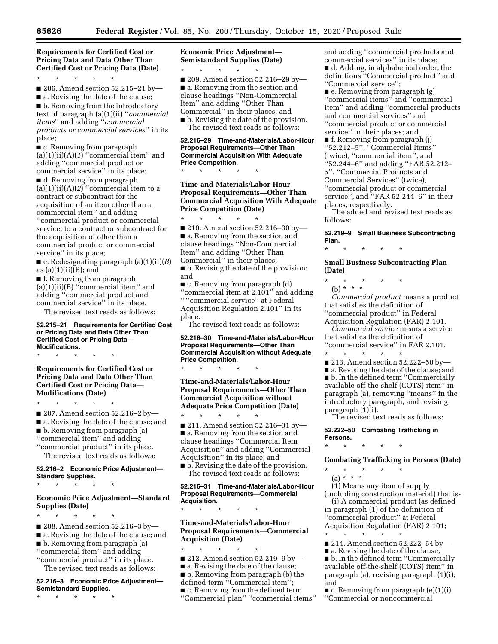**Requirements for Certified Cost or Pricing Data and Data Other Than Certified Cost or Pricing Data (Date)** 

\* \* \* \* \*

■ 206. Amend section 52.215-21 by-

■ a. Revising the date of the clause; ■ b. Removing from the introductory text of paragraph (a)(1)(ii) ''*commercial items*'' and adding ''*commercial products or commercial services*'' in its place;

■ c. Removing from paragraph (a)(1)(ii)(A)(*1*) ''commercial item'' and adding ''commercial product or commercial service'' in its place;

■ d. Removing from paragraph  $(a)(1)(ii)(A)(2)$  "commercial item to a contract or subcontract for the acquisition of an item other than a commercial item'' and adding ''commercial product or commercial service, to a contract or subcontract for the acquisition of other than a commercial product or commercial service'' in its place;

■ e. Redesignating paragraph (a)(1)(ii)(*B*) as  $(a)(1)(ii)(B)$ ; and

■ f. Removing from paragraph  $(a)(1)(ii)(B)$  "commercial item" and adding ''commercial product and commercial service'' in its place. The revised text reads as follows:

#### **52.215–21 Requirements for Certified Cost or Pricing Data and Data Other Than Certified Cost or Pricing Data— Modifications.**

\* \* \* \* \*

**Requirements for Certified Cost or Pricing Data and Data Other Than Certified Cost or Pricing Data— Modifications (Date)** 

\* \* \* \* \*

■ 207. Amend section 52.216–2 by— ■ a. Revising the date of the clause; and ■ b. Removing from paragraph (a) ''commercial item'' and adding ''commercial product'' in its place.

The revised text reads as follows:

# **52.216–2 Economic Price Adjustment— Standard Supplies.**

 $\star$   $\star$ 

# **Economic Price Adjustment—Standard Supplies (Date)**

\* \* \* \* \* ■ 208. Amend section 52.216-3 by-■ a. Revising the date of the clause; and ■ b. Removing from paragraph (a) ''commercial item'' and adding ''commercial product'' in its place. The revised text reads as follows:

### **52.216–3 Economic Price Adjustment— Semistandard Supplies.**

\* \* \* \* \*

**Economic Price Adjustment— Semistandard Supplies (Date)** 

\* \* \* \* \* ■ 209. Amend section 52.216–29 by— ■ a. Removing from the section and clause headings ''Non-Commercial Item'' and adding ''Other Than Commercial'' in their places; and ■ b. Revising the date of the provision.

The revised text reads as follows:

### **52.216–29 Time-and-Materials/Labor-Hour Proposal Requirements—Other Than Commercial Acquisition With Adequate Price Competition.**

\* \* \* \* \*

**Time-and-Materials/Labor-Hour Proposal Requirements—Other Than Commercial Acquisition With Adequate Price Competition (Date)** 

\* \* \* \* \* ■ 210. Amend section 52.216-30 by-■ a. Removing from the section and clause headings ''Non-Commercial Item'' and adding ''Other Than Commercial'' in their places;

■ b. Revising the date of the provision; and

■ c. Removing from paragraph (d) ''commercial item at 2.101'' and adding '' ''commercial service'' at Federal Acquisition Regulation 2.101'' in its place.

The revised text reads as follows:

### **52.216–30 Time-and-Materials/Labor-Hour Proposal Requirements—Other Than Commercial Acquisition without Adequate Price Competition.**

\* \* \* \* \* **Time-and-Materials/Labor-Hour Proposal Requirements—Other Than Commercial Acquisition without Adequate Price Competition (Date)** 

\* \* \* \* \* ■ 211. Amend section 52.216–31 by— ■ a. Removing from the section and clause headings ''Commercial Item Acquisition'' and adding ''Commercial Acquisition'' in its place; and

■ b. Revising the date of the provision. The revised text reads as follows:

**52.216–31 Time-and-Materials/Labor-Hour Proposal Requirements—Commercial Acquisition.** 

\* \* \* \* \*

# **Time-and-Materials/Labor-Hour Proposal Requirements—Commercial Acquisition (Date)**

\* \* \* \* \*

■ 212. Amend section 52.219–9 by—

■ a. Revising the date of the clause; ■ b. Removing from paragraph (b) the defined term ''Commercial item''; ■ c. Removing from the defined term ''Commercial plan'' ''commercial items'' and adding ''commercial products and commercial services'' in its place; ■ d. Adding, in alphabetical order, the definitions ''Commercial product'' and ''Commercial service'';

■ e. Removing from paragraph (g) ''commercial items'' and ''commercial item'' and adding ''commercial products and commercial services'' and ''commercial product or commercial service'' in their places; and ■ f. Removing from paragraph (j) ''52.212–5'', ''Commercial Items'' (twice), ''commercial item'', and ''52.244–6'' and adding ''FAR 52.212– 5'', ''Commercial Products and Commercial Services'' (twice), ''commercial product or commercial service", and "FAR 52.244-6" in their

places, respectively. The added and revised text reads as

follows:

**52.219–9 Small Business Subcontracting Plan.** 

**Small Business Subcontracting Plan (Date)** 

\* \* \* \* \*

\* \* \* \* \*

(b) \* \* \*

*Commercial product* means a product that satisfies the definition of ''commercial product'' in Federal

Acquisition Regulation (FAR) 2.101. *Commercial service* means a service that satisfies the definition of

''commercial service'' in FAR 2.101. \* \* \* \* \*

- 213. Amend section 52.222–50 by—
- a. Revising the date of the clause; and

■ b. In the defined term "Commercially available off-the-shelf (COTS) item'' in paragraph (a), removing ''means'' in the introductory paragraph, and revising paragraph (1)(i).

The revised text reads as follows:

**52.222–50 Combating Trafficking in Persons.** 

\* \* \* \* \*

**Combating Trafficking in Persons (Date)** 

\* \* \* \* \*

(a) \* \* \* (1) Means any item of supply (including construction material) that is- (i) A commercial product (as defined in paragraph (1) of the definition of

''commercial product'' at Federal Acquisition Regulation (FAR) 2.101;

- \* \* \* \* \* ■ 214. Amend section 52.222–54 by—
- a. Revising the date of the clause;

■ b. In the defined term "Commercially available off-the-shelf (COTS) item'' in paragraph (a), revising paragraph (1)(i); and

■ c. Removing from paragraph (e)(1)(i) ''Commercial or noncommercial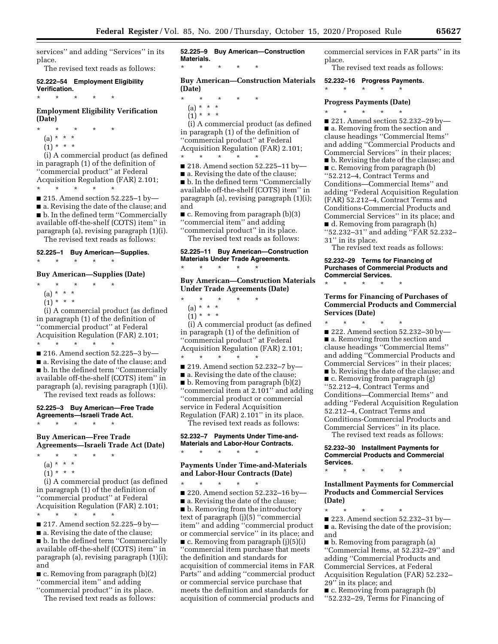services'' and adding ''Services'' in its place.

The revised text reads as follows:

#### **52.222–54 Employment Eligibility Verification.**  \* \* \* \* \*

**Employment Eligibility Verification (Date)** 

\* \* \* \* \*

- (a) \* \* \*
- $(1) * * * *$

(i) A commercial product (as defined in paragraph (1) of the definition of ''commercial product'' at Federal Acquisition Regulation (FAR) 2.101; \* \* \* \* \*

■ 215. Amend section 52.225–1 by— ■ a. Revising the date of the clause; and ■ b. In the defined term "Commercially available off-the-shelf (COTS) item'' in paragraph (a), revising paragraph (1)(i). The revised text reads as follows:

**52.225–1 Buy American—Supplies.** 

# **Buy American—Supplies (Date)**

\* \* \* \* \*

\* \* \* \* \*

- (a) \* \* \*
- $(1) * * * *$

(i) A commercial product (as defined in paragraph (1) of the definition of ''commercial product'' at Federal Acquisition Regulation (FAR) 2.101; \* \* \* \* \*

■ 216. Amend section 52.225–3 by—

■ a. Revising the date of the clause; and ■ b. In the defined term "Commercially available off-the-shelf (COTS) item'' in paragraph (a), revising paragraph (1)(i).

The revised text reads as follows:

#### **52.225–3 Buy American—Free Trade Agreements—Israeli Trade Act.**  \* \* \* \* \*

**Buy American—Free Trade Agreements—Israeli Trade Act (Date)** 

- \* \* \* \* \*
- (a) \* \* \*
- $(1) * * * *$

(i) A commercial product (as defined in paragraph (1) of the definition of ''commercial product'' at Federal Acquisition Regulation (FAR) 2.101;

- \* \* \* \* \*
- 217. Amend section 52.225-9 by-

■ a. Revising the date of the clause;

■ b. In the defined term ''Commercially available off-the-shelf (COTS) item'' in paragraph (a), revising paragraph (1)(i); and

■ c. Removing from paragraph (b)(2) ''commercial item'' and adding

''commercial product'' in its place.

The revised text reads as follows:

**52.225–9 Buy American—Construction Materials.**  \* \* \* \* \*

**Buy American—Construction Materials (Date)** 

- \* \* \* \* \*
	- (a) \* \* \*
	- $(1) * * * *$

(i) A commercial product (as defined in paragraph (1) of the definition of ''commercial product'' at Federal Acquisition Regulation (FAR) 2.101;  $\star$   $\qquad$   $\star$   $\qquad$   $\star$   $\qquad$   $\star$ 

■ 218. Amend section 52.225-11 by-

■ a. Revising the date of the clause; ■ b. In the defined term "Commercially available off-the-shelf (COTS) item'' in paragraph (a), revising paragraph (1)(i); and

 $\blacksquare$  c. Removing from paragraph (b)(3) ''commercial item'' and adding

''commercial product'' in its place. The revised text reads as follows:

**52.225–11 Buy American—Construction Materials Under Trade Agreements.**  \* \* \* \* \*

**Buy American—Construction Materials Under Trade Agreements (Date)** 

- \* \* \* \* \*
- (a) \* \* \*
- $(1) * * * *$

(i) A commercial product (as defined in paragraph (1) of the definition of ''commercial product'' at Federal Acquisition Regulation (FAR) 2.101;  $\star$   $\qquad$   $\star$   $\qquad$   $\star$   $\qquad$   $\star$ 

- 219. Amend section 52.232–7 by—
- a. Revising the date of the clause;

 $\blacksquare$  b. Removing from paragraph  $(b)(2)$ ''commercial item at 2.101'' and adding ''commercial product or commercial service in Federal Acquisition Regulation (FAR) 2.101'' in its place. The revised text reads as follows:

**52.232–7 Payments Under Time-and-Materials and Labor-Hour Contracts.** 

\* \* \* \* \*

# **Payments Under Time-and-Materials and Labor-Hour Contracts (Date)**

\* \* \* \* \*

■ 220. Amend section 52.232-16 by-■ a. Revising the date of the clause; ■ b. Removing from the introductory text of paragraph (j)(5) ''commercial item'' and adding ''commercial product or commercial service'' in its place; and ■ c. Removing from paragraph (j)(5)(i) ''commercial item purchase that meets the definition and standards for acquisition of commercial items in FAR Parts'' and adding ''commercial product or commercial service purchase that meets the definition and standards for acquisition of commercial products and

commercial services in FAR parts'' in its place.

The revised text reads as follows:

#### **52.232–16 Progress Payments.**

\* \* \* \* \*

\* \* \* \* \*

# **Progress Payments (Date)**

■ 221. Amend section 52.232-29 by-■ a. Removing from the section and clause headings ''Commercial Items'' and adding ''Commercial Products and Commercial Services'' in their places; ■ b. Revising the date of the clause; and ■ c. Removing from paragraph (b) ''52.212–4, Contract Terms and Conditions—Commercial Items'' and adding ''Federal Acquisition Regulation (FAR) 52.212–4, Contract Terms and Conditions-Commercial Products and Commercial Services'' in its place; and ■ d. Removing from paragraph (h)

- ''52.232–31'' and adding ''FAR 52.232– 31'' in its place.
- The revised text reads as follows:

# **52.232–29 Terms for Financing of Purchases of Commercial Products and Commercial Services.**

\* \* \* \* \*

# **Terms for Financing of Purchases of Commercial Products and Commercial Services (Date)**

\* \* \* \* \* ■ 222. Amend section 52.232–30 by— ■ a. Removing from the section and clause headings ''Commercial Items'' and adding ''Commercial Products and Commercial Services'' in their places; ■ b. Revising the date of the clause; and ■ c. Removing from paragraph (g) ''52.212–4, Contract Terms and Conditions—Commercial Items'' and adding ''Federal Acquisition Regulation 52.212–4, Contract Terms and Conditions-Commercial Products and Commercial Services'' in its place.

The revised text reads as follows:

**52.232–30 Installment Payments for Commercial Products and Commercial Services.** 

\* \* \* \* \*

# **Installment Payments for Commercial Products and Commercial Services (Date)**

\* \* \* \* \* ■ 223. Amend section 52.232–31 by— ■ a. Revising the date of the provision; and

■ b. Removing from paragraph (a) ''Commercial Items, at 52.232–29'' and adding ''Commercial Products and Commercial Services, at Federal Acquisition Regulation (FAR) 52.232– 29'' in its place; and

■ c. Removing from paragraph (b)

''52.232–29, Terms for Financing of